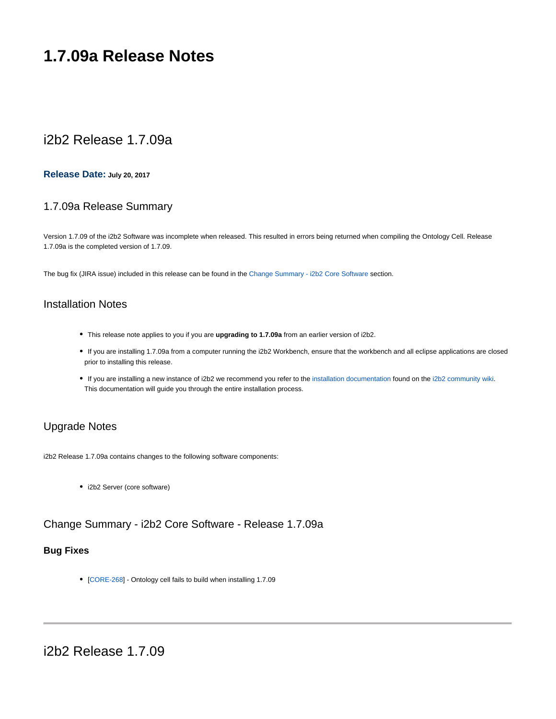# **1.7.09a Release Notes**

# i2b2 Release 1.7.09a

### **Release Date: July 20, 2017**

# 1.7.09a Release Summary

Version 1.7.09 of the i2b2 Software was incomplete when released. This resulted in errors being returned when compiling the Ontology Cell. Release 1.7.09a is the completed version of 1.7.09.

The bug fix (JIRA issue) included in this release can be found in the [Change Summary - i2b2 Core Software](#page-0-0) section.

# Installation Notes

- This release note applies to you if you are **upgrading to 1.7.09a** from an earlier version of i2b2.
- If you are installing 1.7.09a from a computer running the i2b2 Workbench, ensure that the workbench and all eclipse applications are closed prior to installing this release.
- If you are installing a new instance of i2b2 we recommend you refer to the [installation documentation](https://community.i2b2.org/wiki/display/getstarted/i2b2+Installation+Guide) found on the [i2b2 community wiki.](https://community.i2b2.org/wiki) This documentation will guide you through the entire installation process.

# Upgrade Notes

i2b2 Release 1.7.09a contains changes to the following software components:

• i2b2 Server (core software)

# <span id="page-0-0"></span>Change Summary - i2b2 Core Software - Release 1.7.09a

## **Bug Fixes**

[[CORE-268\]](http://community.i2b2.org/jira/browse/CORE-268) - Ontology cell fails to build when installing 1.7.09

i2b2 Release 1.7.09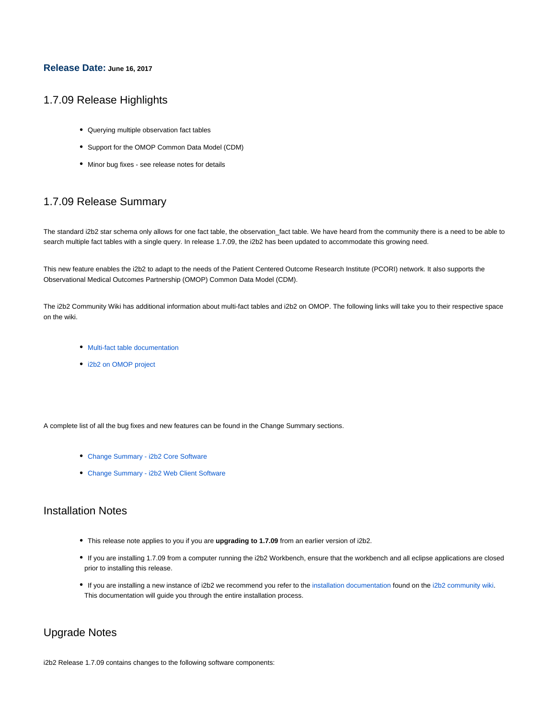### **Release Date: June 16, 2017**

## 1.7.09 Release Highlights

- Querying multiple observation fact tables
- Support for the OMOP Common Data Model (CDM)
- Minor bug fixes see release notes for details

# 1.7.09 Release Summary

The standard i2b2 star schema only allows for one fact table, the observation\_fact table. We have heard from the community there is a need to be able to search multiple fact tables with a single query. In release 1.7.09, the i2b2 has been updated to accommodate this growing need.

This new feature enables the i2b2 to adapt to the needs of the Patient Centered Outcome Research Institute (PCORI) network. It also supports the Observational Medical Outcomes Partnership (OMOP) Common Data Model (CDM).

The i2b2 Community Wiki has additional information about multi-fact tables and i2b2 on OMOP. The following links will take you to their respective space on the wiki.

- [Multi-fact table documentation](https://community.i2b2.org/wiki/display/MFT/Multi-fact+Table+Home)
- [i2b2 on OMOP project](https://community.i2b2.org/wiki/display/OMOP/OMOP+Home)

A complete list of all the bug fixes and new features can be found in the Change Summary sections.

- [Change Summary i2b2 Core Software](#page-2-0)
- [Change Summary i2b2 Web Client Software](#page-2-1)

# Installation Notes

- This release note applies to you if you are **upgrading to 1.7.09** from an earlier version of i2b2.
- If you are installing 1.7.09 from a computer running the i2b2 Workbench, ensure that the workbench and all eclipse applications are closed prior to installing this release.
- If you are installing a new instance of i2b2 we recommend you refer to the [installation documentation](https://community.i2b2.org/wiki/display/getstarted/i2b2+Installation+Guide) found on the [i2b2 community wiki.](https://community.i2b2.org/wiki) This documentation will guide you through the entire installation process.

# Upgrade Notes

i2b2 Release 1.7.09 contains changes to the following software components: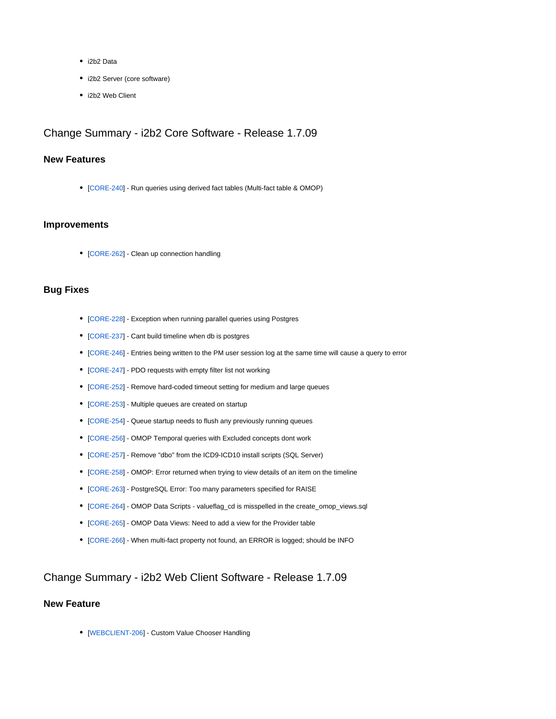- i2b2 Data
- i2b2 Server (core software)
- i2b2 Web Client

# <span id="page-2-0"></span>Change Summary - i2b2 Core Software - Release 1.7.09

# **New Features**

[[CORE-240\]](http://community.i2b2.org/jira/browse/CORE-240) - Run queries using derived fact tables (Multi-fact table & OMOP)

### **Improvements**

• [[CORE-262\]](http://community.i2b2.org/jira/browse/CORE-262) - Clean up connection handling

## **Bug Fixes**

- [[CORE-228\]](http://community.i2b2.org/jira/browse/CORE-228) Exception when running parallel queries using Postgres
- [[CORE-237\]](http://community.i2b2.org/jira/browse/CORE-237) Cant build timeline when db is postgres
- [[CORE-246\]](http://community.i2b2.org/jira/browse/CORE-246) Entries being written to the PM user session log at the same time will cause a query to error
- [[CORE-247\]](http://community.i2b2.org/jira/browse/CORE-247) PDO requests with empty filter list not working
- [[CORE-252\]](http://community.i2b2.org/jira/browse/CORE-252) Remove hard-coded timeout setting for medium and large queues
- [[CORE-253\]](http://community.i2b2.org/jira/browse/CORE-253) Multiple queues are created on startup
- [[CORE-254\]](http://community.i2b2.org/jira/browse/CORE-254) Queue startup needs to flush any previously running queues
- [[CORE-256\]](http://community.i2b2.org/jira/browse/CORE-256) OMOP Temporal queries with Excluded concepts dont work
- [[CORE-257\]](http://community.i2b2.org/jira/browse/CORE-257) Remove "dbo" from the ICD9-ICD10 install scripts (SQL Server)
- [[CORE-258\]](http://community.i2b2.org/jira/browse/CORE-258) OMOP: Error returned when trying to view details of an item on the timeline
- [[CORE-263\]](http://community.i2b2.org/jira/browse/CORE-263) PostgreSQL Error: Too many parameters specified for RAISE
- [[CORE-264\]](http://community.i2b2.org/jira/browse/CORE-264) OMOP Data Scripts valueflag\_cd is misspelled in the create\_omop\_views.sql
- [[CORE-265\]](http://community.i2b2.org/jira/browse/CORE-265) OMOP Data Views: Need to add a view for the Provider table
- [[CORE-266\]](http://community.i2b2.org/jira/browse/CORE-266) When multi-fact property not found, an ERROR is logged; should be INFO

## <span id="page-2-1"></span>Change Summary - i2b2 Web Client Software - Release 1.7.09

## **New Feature**

• [[WEBCLIENT-206\]](http://community.i2b2.org/jira/browse/WEBCLIENT-206) - Custom Value Chooser Handling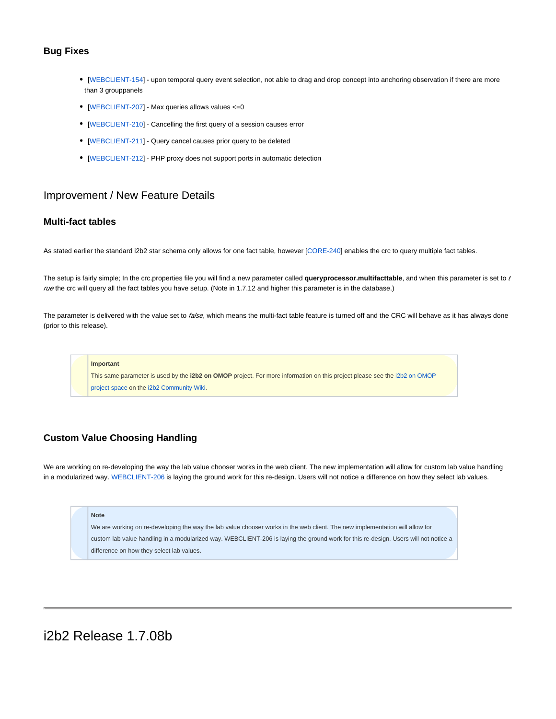### **Bug Fixes**

- [[WEBCLIENT-154\]](http://community.i2b2.org/jira/browse/WEBCLIENT-154) upon temporal query event selection, not able to drag and drop concept into anchoring observation if there are more than 3 grouppanels
- [[WEBCLIENT-207\]](http://community.i2b2.org/jira/browse/WEBCLIENT-207) Max queries allows values <=0
- [[WEBCLIENT-210\]](http://community.i2b2.org/jira/browse/WEBCLIENT-210) Cancelling the first query of a session causes error
- [[WEBCLIENT-211\]](http://community.i2b2.org/jira/browse/WEBCLIENT-211) Query cancel causes prior query to be deleted
- [[WEBCLIENT-212\]](http://community.i2b2.org/jira/browse/WEBCLIENT-212) PHP proxy does not support ports in automatic detection

# Improvement / New Feature Details

## **Multi-fact tables**

As stated earlier the standard i2b2 star schema only allows for one fact table, however [[CORE-240](http://community.i2b2.org/jira/browse/CORE-240)] enables the crc to query multiple fact tables.

The setup is fairly simple; In the crc.properties file you will find a new parameter called **queryprocessor.multifacttable**, and when this parameter is set to t rue the crc will query all the fact tables you have setup. (Note in 1.7.12 and higher this parameter is in the database.)

The parameter is delivered with the value set to false, which means the multi-fact table feature is turned off and the CRC will behave as it has always done (prior to this release).

#### **Important**

This same parameter is used by the **i2b2 on OMOP** project. For more information on this project please see the [i2b2 on OMOP](https://community.i2b2.org/wiki/display/OMOP/OMOP+Home)  [project space](https://community.i2b2.org/wiki/display/OMOP/OMOP+Home) on the [i2b2 Community Wiki](https://community.i2b2.org/wiki).

## **Custom Value Choosing Handling**

We are working on re-developing the way the lab value chooser works in the web client. The new implementation will allow for custom lab value handling in a modularized way. [WEBCLIENT-206](http://community.i2b2.org/jira/browse/WEBCLIENT-206) is laying the ground work for this re-design. Users will not notice a difference on how they select lab values.

#### **Note**

We are working on re-developing the way the lab value chooser works in the web client. The new implementation will allow for custom lab value handling in a modularized way. WEBCLIENT-206 is laying the ground work for this re-design. Users will not notice a difference on how they select lab values.

# i2b2 Release 1.7.08b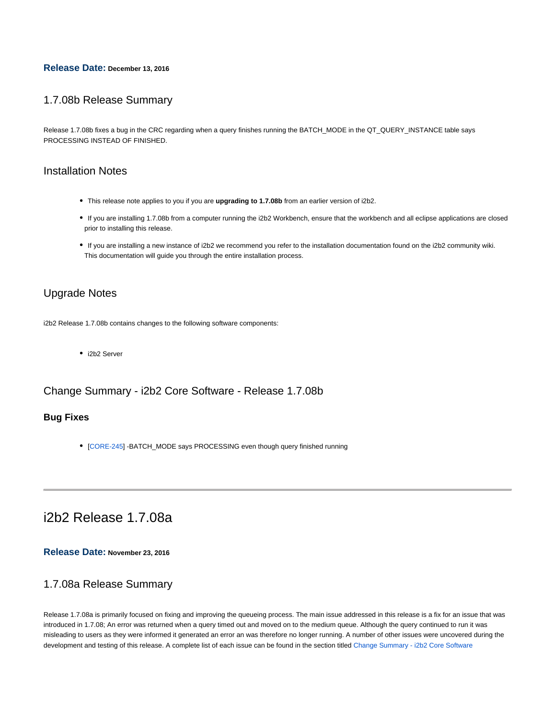### **Release Date: December 13, 2016**

# 1.7.08b Release Summary

Release 1.7.08b fixes a bug in the CRC regarding when a query finishes running the BATCH\_MODE in the QT\_QUERY\_INSTANCE table says PROCESSING INSTEAD OF FINISHED.

# Installation Notes

- This release note applies to you if you are **upgrading to 1.7.08b** from an earlier version of i2b2.
- If you are installing 1.7.08b from a computer running the i2b2 Workbench, ensure that the workbench and all eclipse applications are closed prior to installing this release.
- If you are installing a new instance of i2b2 we recommend you refer to the installation documentation found on the i2b2 community wiki. This documentation will guide you through the entire installation process.

# Upgrade Notes

i2b2 Release 1.7.08b contains changes to the following software components:

• i2b2 Server

# Change Summary - i2b2 Core Software - Release 1.7.08b

## **Bug Fixes**

• [[CORE-245\]](http://community.i2b2.org/jira/browse/CORE-245) -BATCH\_MODE says PROCESSING even though query finished running

# i2b2 Release 1.7.08a

**Release Date: November 23, 2016**

# 1.7.08a Release Summary

Release 1.7.08a is primarily focused on fixing and improving the queueing process. The main issue addressed in this release is a fix for an issue that was introduced in 1.7.08; An error was returned when a query timed out and moved on to the medium queue. Although the query continued to run it was misleading to users as they were informed it generated an error an was therefore no longer running. A number of other issues were uncovered during the development and testing of this release. A complete list of each issue can be found in the section titled [Change Summary - i2b2 Core Software](#page-5-0)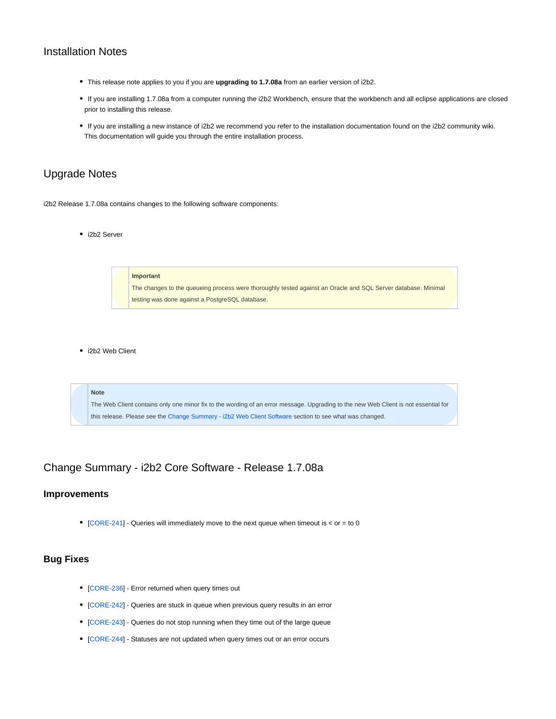# Installation Notes

- This release note applies to you if you are **upgrading to 1.7.08a** from an earlier version of i2b2.
- If you are installing 1.7.08a from a computer running the i2b2 Workbench, ensure that the workbench and all eclipse applications are closed prior to installing this release.
- If you are installing a new instance of i2b2 we recommend you refer to the installation documentation found on the i2b2 community wiki. This documentation will guide you through the entire installation process.

# Upgrade Notes

i2b2 Release 1.7.08a contains changes to the following software components:

• i2b2 Server

**Important** The changes to the queueing process were thoroughly tested against an Oracle and SQL Server database. Minimal testing was done against a PostgreSQL database.

• i2b2 Web Client

**Note** The Web Client contains only one minor fix to the wording of an error message. Upgrading to the new Web Client is not essential for this release. Please see the [Change Summary - i2b2 Web Client Software](#page-5-1) section to see what was changed.

<span id="page-5-0"></span>Change Summary - i2b2 Core Software - Release 1.7.08a

### **Improvements**

 $\bullet$  [[CORE-241\]](http://community.i2b2.org/jira/browse/CORE-241) - Queries will immediately move to the next queue when timeout is < or = to 0

# **Bug Fixes**

- [[CORE-236\]](http://community.i2b2.org/jira/browse/CORE-236) Error returned when query times out
- [[CORE-242\]](http://community.i2b2.org/jira/browse/CORE-242) Queries are stuck in queue when previous query results in an error
- [[CORE-243\]](http://community.i2b2.org/jira/browse/CORE-243) Queries do not stop running when they time out of the large queue
- <span id="page-5-1"></span>• [[CORE-244\]](http://community.i2b2.org/jira/browse/CORE-244) - Statuses are not updated when query times out or an error occurs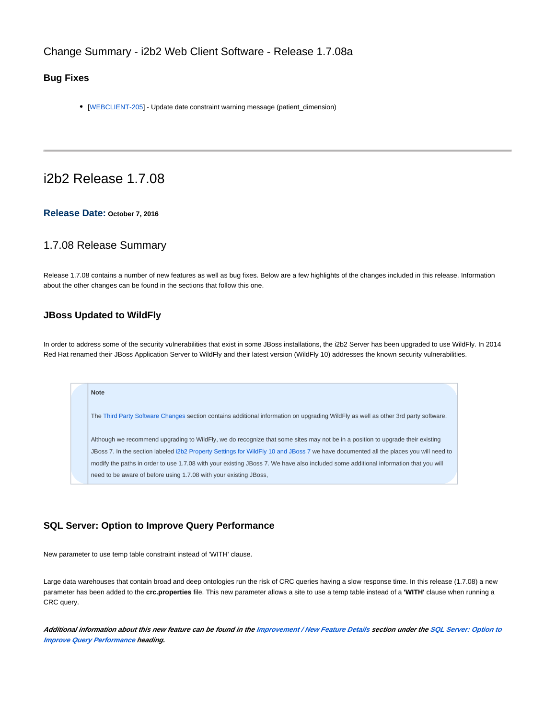# Change Summary - i2b2 Web Client Software - Release 1.7.08a

## **Bug Fixes**

[[WEBCLIENT-205\]](http://community.i2b2.org/jira/browse/WEBCLIENT-205) - Update date constraint warning message (patient\_dimension)

# i2b2 Release 1.7.08

### **Release Date: October 7, 2016**

## 1.7.08 Release Summary

Release 1.7.08 contains a number of new features as well as bug fixes. Below are a few highlights of the changes included in this release. Information about the other changes can be found in the sections that follow this one.

## **JBoss Updated to WildFly**

**Note**

In order to address some of the security vulnerabilities that exist in some JBoss installations, the i2b2 Server has been upgraded to use WildFly. In 2014 Red Hat renamed their JBoss Application Server to WildFly and their latest version (WildFly 10) addresses the known security vulnerabilities.

The [Third Party Software Changes](#page-7-0) section contains additional information on upgrading WildFly as well as other 3rd party software. Although we recommend upgrading to WildFly, we do recognize that some sites may not be in a position to upgrade their existing JBoss 7. In the section labeled [i2b2 Property Settings for WildFly 10 and JBoss 7](#page-8-0) we have documented all the places you will need to modify the paths in order to use 1.7.08 with your existing JBoss 7. We have also included some additional information that you will need to be aware of before using 1.7.08 with your existing JBoss,

### **SQL Server: Option to Improve Query Performance**

New parameter to use temp table constraint instead of 'WITH' clause.

Large data warehouses that contain broad and deep ontologies run the risk of CRC queries having a slow response time. In this release (1.7.08) a new parameter has been added to the **crc.properties** file. This new parameter allows a site to use a temp table instead of a **'WITH'** clause when running a CRC query.

**Additional information about this new feature can be found in the [Improvement / New Feature Details](#page-13-0) section under the [SQL Server: Option to](#page-14-0)  [Improve Query Performance](#page-14-0) heading.**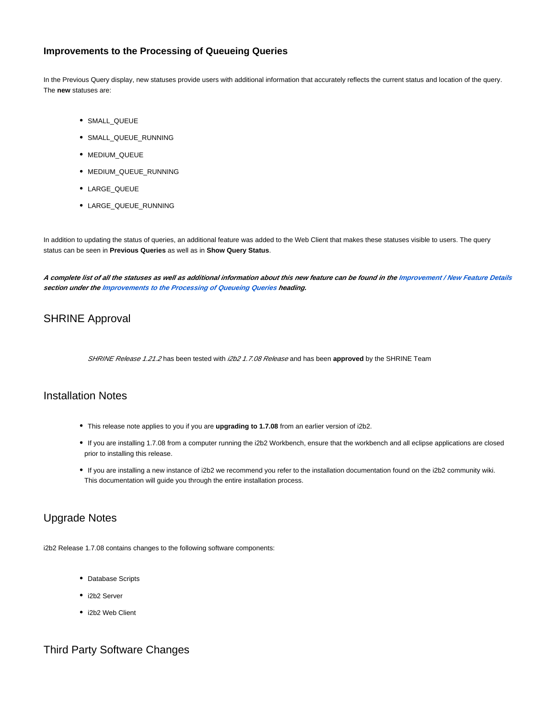# **Improvements to the Processing of Queueing Queries**

In the Previous Query display, new statuses provide users with additional information that accurately reflects the current status and location of the query. The **new** statuses are:

- SMALL\_QUEUE
- SMALL\_QUEUE\_RUNNING
- MEDIUM\_QUEUE
- MEDIUM\_QUEUE\_RUNNING
- LARGE\_QUEUE
- LARGE\_QUEUE\_RUNNING

In addition to updating the status of queries, an additional feature was added to the Web Client that makes these statuses visible to users. The query status can be seen in **Previous Queries** as well as in **Show Query Status**.

**A complete list of all the statuses as well as additional information about this new feature can be found in the [Improvement / New Feature Details](#page-13-0) section under the [Improvements to the Processing of Queueing Queries](#page-14-1) heading.**

# SHRINE Approval

SHRINE Release 1.21.2 has been tested with i2b2 1.7.08 Release and has been approved by the SHRINE Team

# Installation Notes

- This release note applies to you if you are **upgrading to 1.7.08** from an earlier version of i2b2.
- If you are installing 1.7.08 from a computer running the i2b2 Workbench, ensure that the workbench and all eclipse applications are closed prior to installing this release.
- If you are installing a new instance of i2b2 we recommend you refer to the installation documentation found on the i2b2 community wiki. This documentation will guide you through the entire installation process.

# Upgrade Notes

i2b2 Release 1.7.08 contains changes to the following software components:

- Database Scripts
- i2b2 Server
- i2b2 Web Client

# <span id="page-7-0"></span>Third Party Software Changes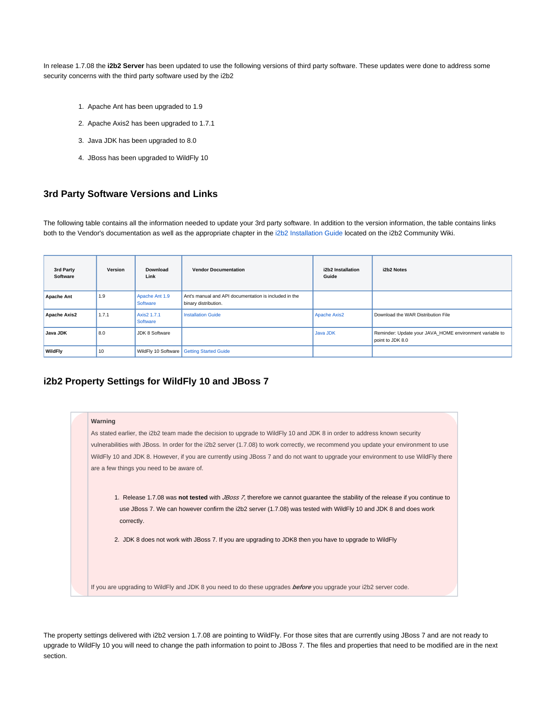In release 1.7.08 the **i2b2 Server** has been updated to use the following versions of third party software. These updates were done to address some security concerns with the third party software used by the i2b2

- 1. Apache Ant has been upgraded to 1.9
- 2. Apache Axis2 has been upgraded to 1.7.1
- 3. Java JDK has been upgraded to 8.0
- 4. JBoss has been upgraded to WildFly 10

## **3rd Party Software Versions and Links**

The following table contains all the information needed to update your 3rd party software. In addition to the version information, the table contains links both to the Vendor's documentation as well as the appropriate chapter in the [i2b2 Installation Guide](http://community.i2b2.org/wiki/display/getstarted/i2b2+Installation+Guide) located on the i2b2 Community Wiki.

| 3rd Party<br>Software | Version | <b>Download</b><br>Link    | <b>Vendor Documentation</b>                                                   | i2b2 Installation<br>Guide | i2b2 Notes                                                                  |
|-----------------------|---------|----------------------------|-------------------------------------------------------------------------------|----------------------------|-----------------------------------------------------------------------------|
| <b>Apache Ant</b>     | 1.9     | Apache Ant 1.9<br>Software | Ant's manual and API documentation is included in the<br>binary distribution. |                            |                                                                             |
| <b>Apache Axis2</b>   | 1.7.1   | Axis2 1.7.1<br>Software    | <b>Installation Guide</b>                                                     | <b>Apache Axis2</b>        | Download the WAR Distribution File                                          |
| Java JDK              | 8.0     | JDK 8 Software             |                                                                               | Java JDK                   | Reminder: Update your JAVA HOME environment variable to<br>point to JDK 8.0 |
| WildFly               | 10      | WildFly 10 Software        | <b>Getting Started Guide</b>                                                  |                            |                                                                             |

### <span id="page-8-0"></span>**i2b2 Property Settings for WildFly 10 and JBoss 7**

# **Warning**

As stated earlier, the i2b2 team made the decision to upgrade to WildFly 10 and JDK 8 in order to address known security vulnerabilities with JBoss. In order for the i2b2 server (1.7.08) to work correctly, we recommend you update your environment to use WildFly 10 and JDK 8. However, if you are currently using JBoss 7 and do not want to upgrade your environment to use WildFly there are a few things you need to be aware of.

- 1. Release 1.7.08 was not tested with *JBoss 7*, therefore we cannot guarantee the stability of the release if you continue to use JBoss 7. We can however confirm the i2b2 server (1.7.08) was tested with WildFly 10 and JDK 8 and does work correctly.
- 2. JDK 8 does not work with JBoss 7. If you are upgrading to JDK8 then you have to upgrade to WildFly

If you are upgrading to WildFly and JDK 8 you need to do these upgrades **before** you upgrade your i2b2 server code.

The property settings delivered with i2b2 version 1.7.08 are pointing to WildFly. For those sites that are currently using JBoss 7 and are not ready to upgrade to WildFly 10 you will need to change the path information to point to JBoss 7. The files and properties that need to be modified are in the next section.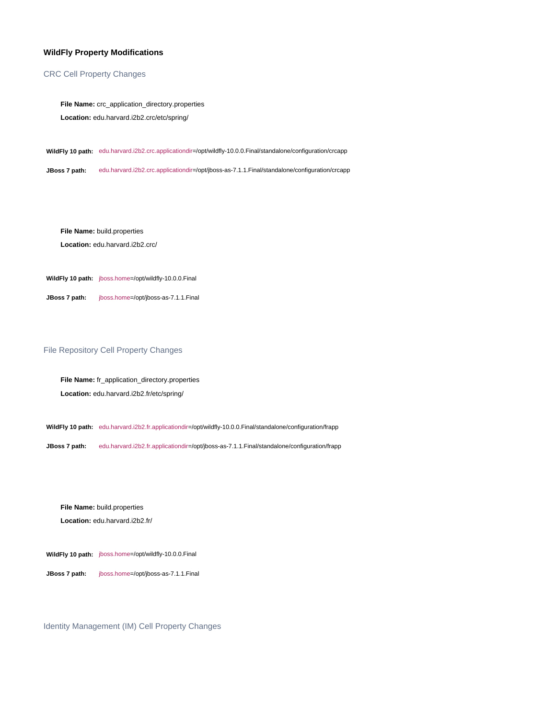### **WildFly Property Modifications**

### CRC Cell Property Changes

**File Name:** crc\_application\_directory.properties **Location:** edu.harvard.i2b2.crc/etc/spring/

**WildFly 10 path:** edu.harvard.i2b2.crc.applicationdir=/opt/wildfly-10.0.0.Final/standalone/configuration/crcapp

**JBoss 7 path:** edu.harvard.i2b2.crc.applicationdir=/opt/jboss-as-7.1.1.Final/standalone/configuration/crcapp

**File Name:** build.properties

**Location:** edu.harvard.i2b2.crc/

**WildFly 10 path:** jboss.home=/opt/wildfly-10.0.0.Final

**JBoss 7 path:** jboss.home=/opt/jboss-as-7.1.1.Final

### File Repository Cell Property Changes

**File Name:** fr\_application\_directory.properties **Location:** edu.harvard.i2b2.fr/etc/spring/

**WildFly 10 path:** edu.harvard.i2b2.fr.applicationdir=/opt/wildfly-10.0.0.Final/standalone/configuration/frapp

**JBoss 7 path:** edu.harvard.i2b2.fr.applicationdir=/opt/jboss-as-7.1.1.Final/standalone/configuration/frapp

**File Name:** build.properties

**Location:** edu.harvard.i2b2.fr/

**WildFly 10 path:** jboss.home=/opt/wildfly-10.0.0.Final

**JBoss 7 path:** jboss.home=/opt/jboss-as-7.1.1.Final

Identity Management (IM) Cell Property Changes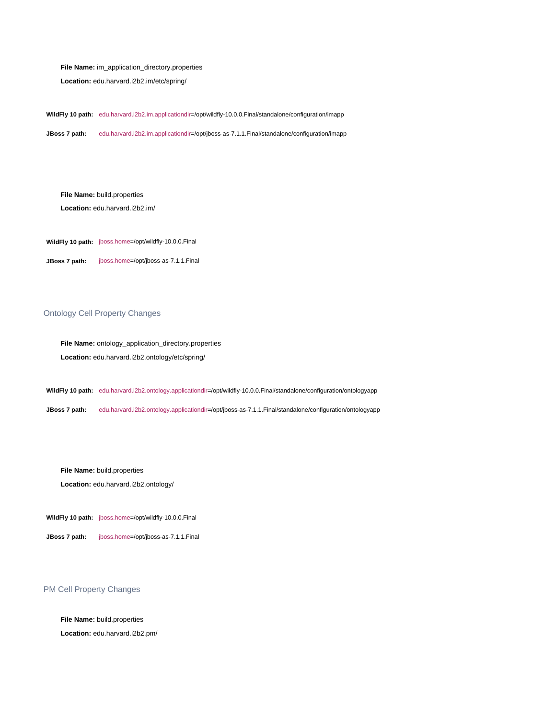### **File Name:** im\_application\_directory.properties

**Location:** edu.harvard.i2b2.im/etc/spring/

**WildFly 10 path:** edu.harvard.i2b2.im.applicationdir=/opt/wildfly-10.0.0.Final/standalone/configuration/imapp

**JBoss 7 path:** edu.harvard.i2b2.im.applicationdir=/opt/jboss-as-7.1.1.Final/standalone/configuration/imapp

**File Name:** build.properties

**Location:** edu.harvard.i2b2.im/

**WildFly 10 path:** jboss.home=/opt/wildfly-10.0.0.Final

**JBoss 7 path:** jboss.home=/opt/jboss-as-7.1.1.Final

### Ontology Cell Property Changes

**File Name:** ontology\_application\_directory.properties **Location:** edu.harvard.i2b2.ontology/etc/spring/

**WildFly 10 path:** edu.harvard.i2b2.ontology.applicationdir=/opt/wildfly-10.0.0.Final/standalone/configuration/ontologyapp

**JBoss 7 path:** edu.harvard.i2b2.ontology.applicationdir=/opt/jboss-as-7.1.1.Final/standalone/configuration/ontologyapp

**File Name:** build.properties

**Location:** edu.harvard.i2b2.ontology/

- **WildFly 10 path:** jboss.home=/opt/wildfly-10.0.0.Final
- **JBoss 7 path:** jboss.home=/opt/jboss-as-7.1.1.Final

### PM Cell Property Changes

**File Name:** build.properties

**Location:** edu.harvard.i2b2.pm/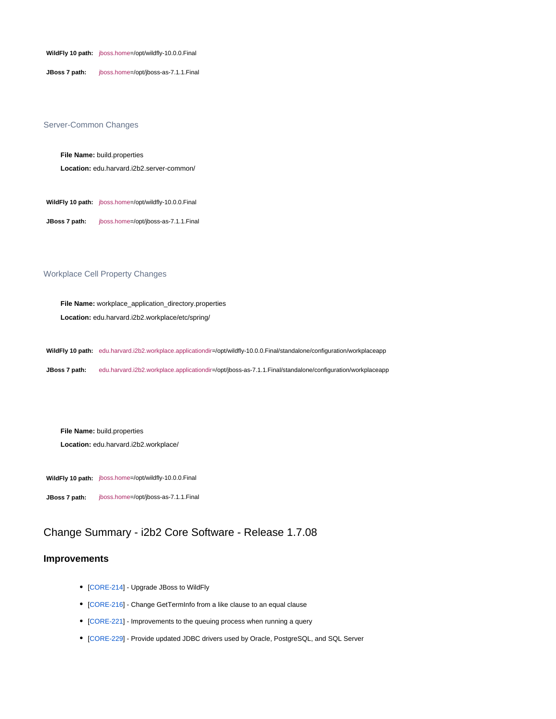**WildFly 10 path:** jboss.home=/opt/wildfly-10.0.0.Final

**JBoss 7 path:** jboss.home=/opt/jboss-as-7.1.1.Final

### Server-Common Changes

**File Name:** build.properties

**Location:** edu.harvard.i2b2.server-common/

**WildFly 10 path:** jboss.home=/opt/wildfly-10.0.0.Final

**JBoss 7 path:** jboss.home=/opt/jboss-as-7.1.1.Final

### Workplace Cell Property Changes

**File Name:** workplace\_application\_directory.properties **Location:** edu.harvard.i2b2.workplace/etc/spring/

**WildFly 10 path:** edu.harvard.i2b2.workplace.applicationdir=/opt/wildfly-10.0.0.Final/standalone/configuration/workplaceapp

**JBoss 7 path:** edu.harvard.i2b2.workplace.applicationdir=/opt/jboss-as-7.1.1.Final/standalone/configuration/workplaceapp

#### **File Name:** build.properties

**Location:** edu.harvard.i2b2.workplace/

**WildFly 10 path:** jboss.home=/opt/wildfly-10.0.0.Final

**JBoss 7 path:** jboss.home=/opt/jboss-as-7.1.1.Final

# Change Summary - i2b2 Core Software - Release 1.7.08

### **Improvements**

- [[CORE-214\]](http://community.i2b2.org/jira/browse/CORE-214) Upgrade JBoss to WildFly
- [[CORE-216\]](http://community.i2b2.org/jira/browse/CORE-216) Change GetTermInfo from a like clause to an equal clause
- [[CORE-221\]](http://community.i2b2.org/jira/browse/CORE-221) Improvements to the queuing process when running a query
- [[CORE-229\]](http://community.i2b2.org/jira/browse/CORE-229) Provide updated JDBC drivers used by Oracle, PostgreSQL, and SQL Server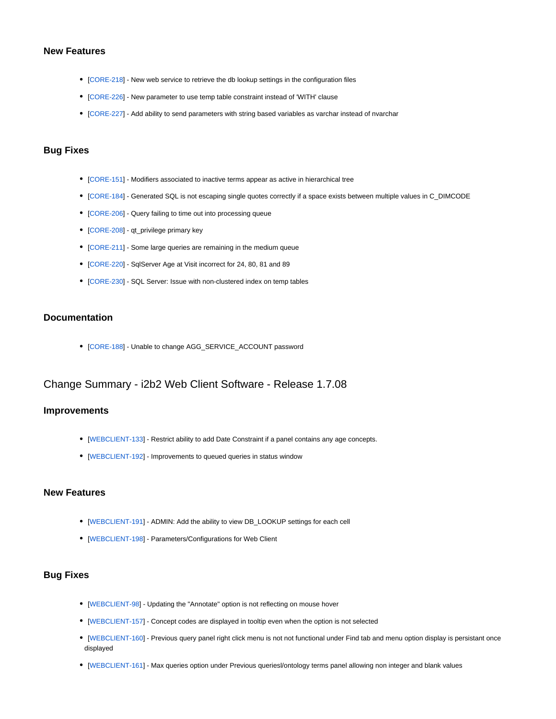## **New Features**

- [[CORE-218\]](http://community.i2b2.org/jira/browse/CORE-218) New web service to retrieve the db lookup settings in the configuration files
- [[CORE-226\]](http://community.i2b2.org/jira/browse/CORE-226) New parameter to use temp table constraint instead of 'WITH' clause
- [[CORE-227\]](http://community.i2b2.org/jira/browse/CORE-227) Add ability to send parameters with string based variables as varchar instead of nvarchar

# **Bug Fixes**

- [[CORE-151\]](http://community.i2b2.org/jira/browse/CORE-151) Modifiers associated to inactive terms appear as active in hierarchical tree
- [[CORE-184\]](http://community.i2b2.org/jira/browse/CORE-184) Generated SQL is not escaping single quotes correctly if a space exists between multiple values in C\_DIMCODE
- [[CORE-206\]](http://community.i2b2.org/jira/browse/CORE-206) Query failing to time out into processing queue
- [[CORE-208\]](http://community.i2b2.org/jira/browse/CORE-208) qt\_privilege primary key
- [[CORE-211\]](http://community.i2b2.org/jira/browse/CORE-211) Some large queries are remaining in the medium queue
- [[CORE-220\]](http://community.i2b2.org/jira/browse/CORE-220) SqlServer Age at Visit incorrect for 24, 80, 81 and 89
- [[CORE-230\]](http://community.i2b2.org/jira/browse/CORE-230) SQL Server: Issue with non-clustered index on temp tables

### **Documentation**

[[CORE-188\]](http://community.i2b2.org/jira/browse/CORE-188) - Unable to change AGG\_SERVICE\_ACCOUNT password

# Change Summary - i2b2 Web Client Software - Release 1.7.08

### **Improvements**

- [[WEBCLIENT-133\]](http://community.i2b2.org/jira/browse/WEBCLIENT-133) Restrict ability to add Date Constraint if a panel contains any age concepts.
- [[WEBCLIENT-192\]](http://community.i2b2.org/jira/browse/WEBCLIENT-192) Improvements to queued queries in status window

### **New Features**

- [[WEBCLIENT-191\]](http://community.i2b2.org/jira/browse/WEBCLIENT-191) ADMIN: Add the ability to view DB\_LOOKUP settings for each cell
- [[WEBCLIENT-198\]](http://community.i2b2.org/jira/browse/WEBCLIENT-198) Parameters/Configurations for Web Client

### **Bug Fixes**

- [[WEBCLIENT-98](http://community.i2b2.org/jira/browse/WEBCLIENT-98)] Updating the "Annotate" option is not reflecting on mouse hover
- [[WEBCLIENT-157\]](http://community.i2b2.org/jira/browse/WEBCLIENT-157) Concept codes are displayed in tooltip even when the option is not selected
- [[WEBCLIENT-160\]](http://community.i2b2.org/jira/browse/WEBCLIENT-160) Previous query panel right click menu is not not functional under Find tab and menu option display is persistant once displayed
- [[WEBCLIENT-161\]](http://community.i2b2.org/jira/browse/WEBCLIENT-161) Max queries option under Previous queriesl/ontology terms panel allowing non integer and blank values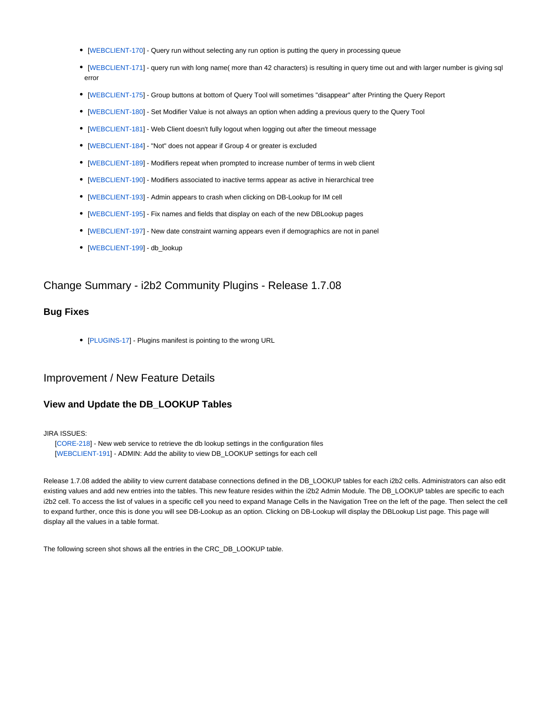- [[WEBCLIENT-170\]](http://community.i2b2.org/jira/browse/WEBCLIENT-170) Query run without selecting any run option is putting the query in processing queue
- [[WEBCLIENT-171\]](http://community.i2b2.org/jira/browse/WEBCLIENT-171) query run with long name( more than 42 characters) is resulting in query time out and with larger number is giving sql error
- [[WEBCLIENT-175\]](http://community.i2b2.org/jira/browse/WEBCLIENT-175) Group buttons at bottom of Query Tool will sometimes "disappear" after Printing the Query Report
- [[WEBCLIENT-180\]](http://community.i2b2.org/jira/browse/WEBCLIENT-180) Set Modifier Value is not always an option when adding a previous query to the Query Tool
- [[WEBCLIENT-181\]](http://community.i2b2.org/jira/browse/WEBCLIENT-181) Web Client doesn't fully logout when logging out after the timeout message
- [[WEBCLIENT-184\]](http://community.i2b2.org/jira/browse/WEBCLIENT-184) "Not" does not appear if Group 4 or greater is excluded
- [[WEBCLIENT-189\]](http://community.i2b2.org/jira/browse/WEBCLIENT-189) Modifiers repeat when prompted to increase number of terms in web client
- [[WEBCLIENT-190\]](http://community.i2b2.org/jira/browse/WEBCLIENT-190) Modifiers associated to inactive terms appear as active in hierarchical tree
- [[WEBCLIENT-193\]](http://community.i2b2.org/jira/browse/WEBCLIENT-193) Admin appears to crash when clicking on DB-Lookup for IM cell
- [[WEBCLIENT-195\]](http://community.i2b2.org/jira/browse/WEBCLIENT-195) Fix names and fields that display on each of the new DBLookup pages
- [[WEBCLIENT-197\]](http://community.i2b2.org/jira/browse/WEBCLIENT-197) New date constraint warning appears even if demographics are not in panel
- [[WEBCLIENT-199\]](http://community.i2b2.org/jira/browse/WEBCLIENT-199) db\_lookup

# Change Summary - i2b2 Community Plugins - Release 1.7.08

### **Bug Fixes**

• [[PLUGINS-17\]](http://community.i2b2.org/jira/browse/PLUGINS-17) - Plugins manifest is pointing to the wrong URL

# <span id="page-13-0"></span>Improvement / New Feature Details

## **View and Update the DB\_LOOKUP Tables**

### JIRA ISSUES:

 [[CORE-218](http://community.i2b2.org/jira/browse/CORE-218)] - New web service to retrieve the db lookup settings in the configuration files [[WEBCLIENT-191](http://community.i2b2.org/jira/browse/WEBCLIENT-191)] - ADMIN: Add the ability to view DB\_LOOKUP settings for each cell

Release 1.7.08 added the ability to view current database connections defined in the DB\_LOOKUP tables for each i2b2 cells. Administrators can also edit existing values and add new entries into the tables. This new feature resides within the i2b2 Admin Module. The DB\_LOOKUP tables are specific to each i2b2 cell. To access the list of values in a specific cell you need to expand Manage Cells in the Navigation Tree on the left of the page. Then select the cell to expand further, once this is done you will see DB-Lookup as an option. Clicking on DB-Lookup will display the DBLookup List page. This page will display all the values in a table format.

The following screen shot shows all the entries in the CRC\_DB\_LOOKUP table.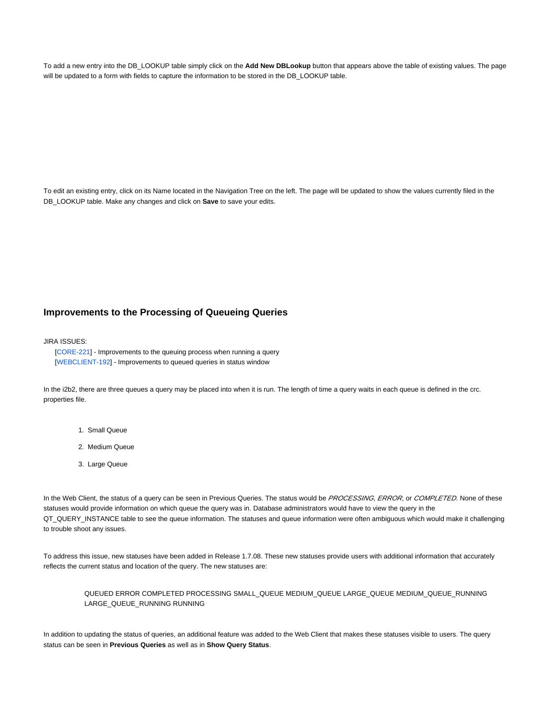To add a new entry into the DB\_LOOKUP table simply click on the **Add New DBLookup** button that appears above the table of existing values. The page will be updated to a form with fields to capture the information to be stored in the DB\_LOOKUP table.

To edit an existing entry, click on its Name located in the Navigation Tree on the left. The page will be updated to show the values currently filed in the DB\_LOOKUP table. Make any changes and click on **Save** to save your edits.

## <span id="page-14-1"></span>**Improvements to the Processing of Queueing Queries**

### JIRA ISSUES:

 [[CORE-221](http://community.i2b2.org/jira/browse/CORE-221)] - Improvements to the queuing process when running a query [[WEBCLIENT-192](http://community.i2b2.org/jira/browse/WEBCLIENT-192)] - Improvements to queued queries in status window

In the i2b2, there are three queues a query may be placed into when it is run. The length of time a query waits in each queue is defined in the crc. properties file.

- 1. Small Queue
- 2. Medium Queue
- 3. Large Queue

In the Web Client, the status of a query can be seen in Previous Queries. The status would be PROCESSING, ERROR, or COMPLETED. None of these statuses would provide information on which queue the query was in. Database administrators would have to view the query in the QT\_QUERY\_INSTANCE table to see the queue information. The statuses and queue information were often ambiguous which would make it challenging to trouble shoot any issues.

To address this issue, new statuses have been added in Release 1.7.08. These new statuses provide users with additional information that accurately reflects the current status and location of the query. The new statuses are:

QUEUED ERROR COMPLETED PROCESSING SMALL\_QUEUE MEDIUM\_QUEUE LARGE\_QUEUE MEDIUM\_QUEUE\_RUNNING LARGE\_QUEUE\_RUNNING RUNNING

<span id="page-14-0"></span>In addition to updating the status of queries, an additional feature was added to the Web Client that makes these statuses visible to users. The query status can be seen in **Previous Queries** as well as in **Show Query Status**.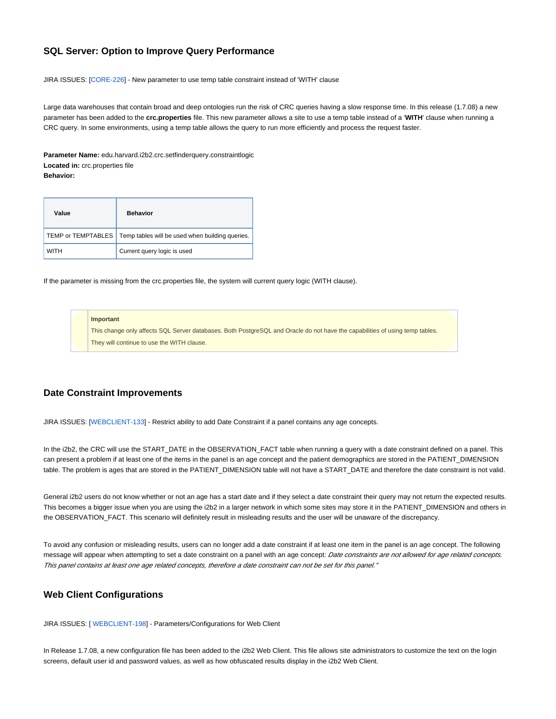# **SQL Server: Option to Improve Query Performance**

JIRA ISSUES: [\[CORE-226\]](http://community.i2b2.org/jira/browse/CORE-226) - New parameter to use temp table constraint instead of 'WITH' clause

Large data warehouses that contain broad and deep ontologies run the risk of CRC queries having a slow response time. In this release (1.7.08) a new parameter has been added to the **crc.properties** file. This new parameter allows a site to use a temp table instead of a '**WITH**' clause when running a CRC query. In some environments, using a temp table allows the query to run more efficiently and process the request faster.

**Parameter Name:** edu.harvard.i2b2.crc.setfinderquery.constraintlogic **Located in:** crc.properties file **Behavior:**

| Value       | <b>Behavior</b>                                                      |
|-------------|----------------------------------------------------------------------|
|             | TEMP or TEMPTABLES   Temp tables will be used when building queries. |
| <b>WITH</b> | Current query logic is used                                          |

If the parameter is missing from the crc.properties file, the system will current query logic (WITH clause).

#### **Important**

This change only affects SQL Server databases. Both PostgreSQL and Oracle do not have the capabilities of using temp tables. They will continue to use the WITH clause.

## **Date Constraint Improvements**

JIRA ISSUES: [\[WEBCLIENT-133\]](http://community.i2b2.org/jira/browse/WEBCLIENT-133) - Restrict ability to add Date Constraint if a panel contains any age concepts.

In the i2b2, the CRC will use the START\_DATE in the OBSERVATION\_FACT table when running a query with a date constraint defined on a panel. This can present a problem if at least one of the items in the panel is an age concept and the patient demographics are stored in the PATIENT\_DIMENSION table. The problem is ages that are stored in the PATIENT\_DIMENSION table will not have a START\_DATE and therefore the date constraint is not valid.

General i2b2 users do not know whether or not an age has a start date and if they select a date constraint their query may not return the expected results. This becomes a bigger issue when you are using the i2b2 in a larger network in which some sites may store it in the PATIENT\_DIMENSION and others in the OBSERVATION\_FACT. This scenario will definitely result in misleading results and the user will be unaware of the discrepancy.

To avoid any confusion or misleading results, users can no longer add a date constraint if at least one item in the panel is an age concept. The following message will appear when attempting to set a date constraint on a panel with an age concept: Date constraints are not allowed for age related concepts. This panel contains at least one age related concepts, therefore a date constraint can not be set for this panel."

## **Web Client Configurations**

JIRA ISSUES: [ [WEBCLIENT-198\]](http://community.i2b2.org/jira/browse/WEBCLIENT-198) - Parameters/Configurations for Web Client

In Release 1.7.08, a new configuration file has been added to the i2b2 Web Client. This file allows site administrators to customize the text on the login screens, default user id and password values, as well as how obfuscated results display in the i2b2 Web Client.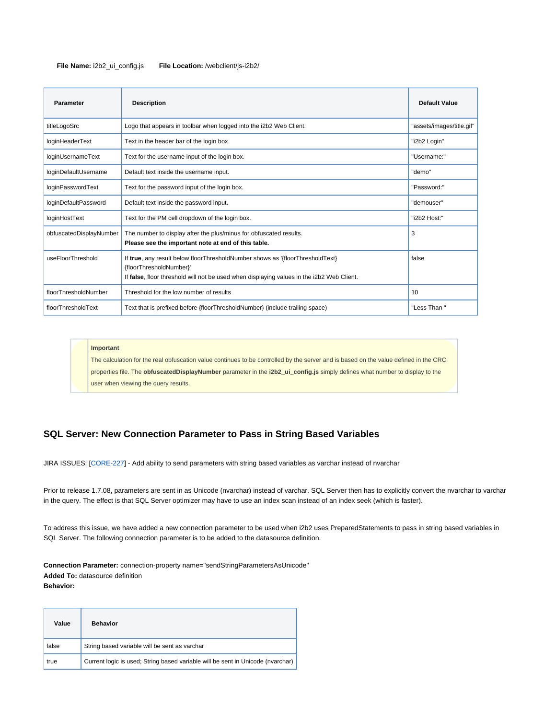### **File Name:** i2b2\_ui\_config.js **File Location:** /webclient/js-i2b2/

| <b>Parameter</b>        | <b>Description</b>                                                                                                                                                                                    | <b>Default Value</b>      |
|-------------------------|-------------------------------------------------------------------------------------------------------------------------------------------------------------------------------------------------------|---------------------------|
| titleLogoSrc            | Logo that appears in toolbar when logged into the i2b2 Web Client.                                                                                                                                    | "assets/images/title.gif" |
| loginHeaderText         | Text in the header bar of the login box                                                                                                                                                               | "i2b2 Login"              |
| loginUsernameText       | Text for the username input of the login box.                                                                                                                                                         | "Username:"               |
| loginDefaultUsername    | Default text inside the username input.                                                                                                                                                               | "demo"                    |
| loginPasswordText       | Text for the password input of the login box.                                                                                                                                                         | "Password:"               |
| loginDefaultPassword    | Default text inside the password input.                                                                                                                                                               | "demouser"                |
| loginHostText           | Text for the PM cell dropdown of the login box.                                                                                                                                                       | "i2b2 Host:"              |
| obfuscatedDisplayNumber | The number to display after the plus/minus for obfuscated results.<br>Please see the important note at end of this table.                                                                             | 3                         |
| useFloorThreshold       | If true, any result below floorThresholdNumber shows as '{floorThresholdText}<br>{floorThresholdNumber}'<br>If false, floor threshold will not be used when displaying values in the i2b2 Web Client. | false                     |
| floorThresholdNumber    | Threshold for the low number of results                                                                                                                                                               | 10                        |
| floorThresholdText      | Text that is prefixed before {floorThresholdNumber} (include trailing space)                                                                                                                          | "Less Than"               |

#### **Important**

The calculation for the real obfuscation value continues to be controlled by the server and is based on the value defined in the CRC properties file. The **obfuscatedDisplayNumber** parameter in the **i2b2\_ui\_config.js** simply defines what number to display to the user when viewing the query results.

# **SQL Server: New Connection Parameter to Pass in String Based Variables**

JIRA ISSUES: [\[CORE-227\]](http://community.i2b2.org/jira/browse/CORE-227) - Add ability to send parameters with string based variables as varchar instead of nvarchar

Prior to release 1.7.08, parameters are sent in as Unicode (nvarchar) instead of varchar. SQL Server then has to explicitly convert the nvarchar to varchar in the query. The effect is that SQL Server optimizer may have to use an index scan instead of an index seek (which is faster).

To address this issue, we have added a new connection parameter to be used when i2b2 uses PreparedStatements to pass in string based variables in SQL Server. The following connection parameter is to be added to the datasource definition.

**Connection Parameter:** connection-property name="sendStringParametersAsUnicode" **Added To:** datasource definition **Behavior:**

| Value | <b>Behavior</b>                                                                 |
|-------|---------------------------------------------------------------------------------|
| false | String based variable will be sent as varchar                                   |
| true  | Current logic is used; String based variable will be sent in Unicode (nvarchar) |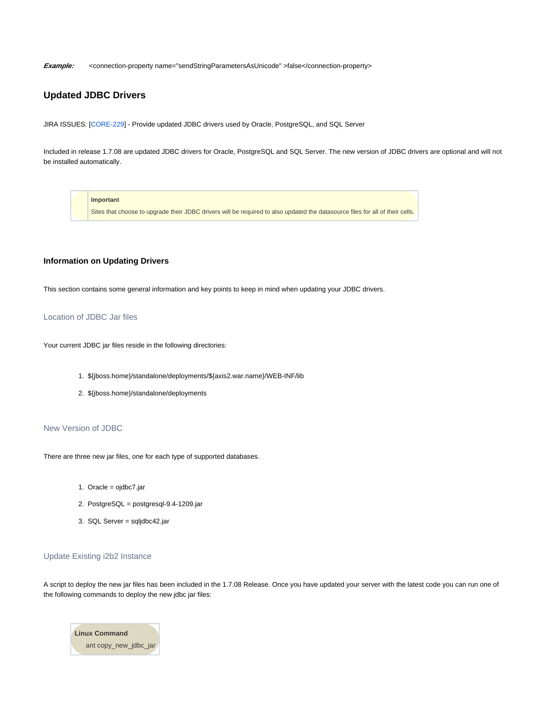Example: <connection-property name="sendStringParametersAsUnicode" >false</connection-property>

# **Updated JDBC Drivers**

JIRA ISSUES: [\[CORE-229\]](http://community.i2b2.org/jira/browse/CORE-229) - Provide updated JDBC drivers used by Oracle, PostgreSQL, and SQL Server

Included in release 1.7.08 are updated JDBC drivers for Oracle, PostgreSQL and SQL Server. The new version of JDBC drivers are optional and will not be installed automatically.

**Important**

Sites that choose to upgrade their JDBC drivers will be required to also updated the datasource files for all of their cells.

### **Information on Updating Drivers**

This section contains some general information and key points to keep in mind when updating your JDBC drivers.

### Location of JDBC Jar files

Your current JDBC jar files reside in the following directories:

- 1. \${jboss.home}/standalone/deployments/\${axis2.war.name}/WEB-INF/lib
- 2. \${jboss.home}/standalone/deployments

### New Version of JDBC

There are three new jar files, one for each type of supported databases.

- 1. Oracle = ojdbc7.jar
- 2. PostgreSQL = postgresql-9.4-1209.jar
- 3. SQL Server = sqljdbc42.jar

### Update Existing i2b2 Instance

A script to deploy the new jar files has been included in the 1.7.08 Release. Once you have updated your server with the latest code you can run one of the following commands to deploy the new jdbc jar files:

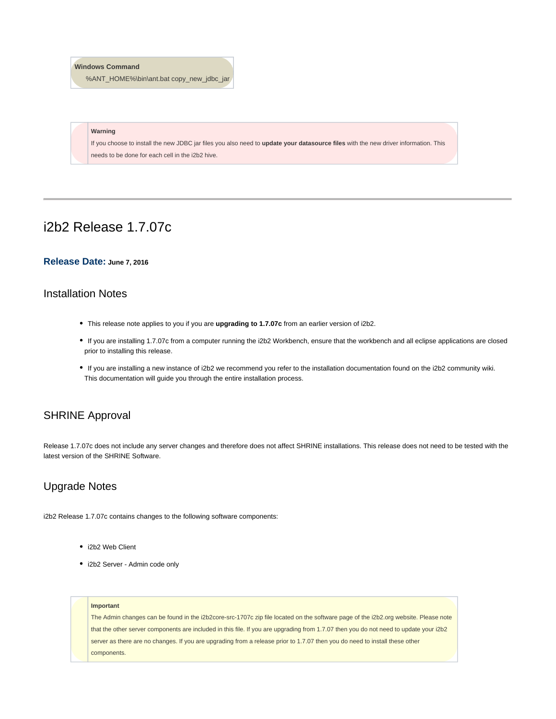### **Windows Command**

%ANT\_HOME%\bin\ant.bat copy\_new\_jdbc\_jar

### **Warning**

If you choose to install the new JDBC jar files you also need to **update your datasource files** with the new driver information. This needs to be done for each cell in the i2b2 hive.

# i2b2 Release 1.7.07c

### **Release Date: June 7, 2016**

# Installation Notes

- This release note applies to you if you are **upgrading to 1.7.07c** from an earlier version of i2b2.
- If you are installing 1.7.07c from a computer running the i2b2 Workbench, ensure that the workbench and all eclipse applications are closed prior to installing this release.
- If you are installing a new instance of i2b2 we recommend you refer to the installation documentation found on the i2b2 community wiki. This documentation will guide you through the entire installation process.

# SHRINE Approval

Release 1.7.07c does not include any server changes and therefore does not affect SHRINE installations. This release does not need to be tested with the latest version of the SHRINE Software.

# Upgrade Notes

i2b2 Release 1.7.07c contains changes to the following software components:

- i2b2 Web Client
- i2b2 Server Admin code only

#### **Important**

The Admin changes can be found in the i2b2core-src-1707c zip file located on the software page of the i2b2.org website. Please note that the other server components are included in this file. If you are upgrading from 1.7.07 then you do not need to update your i2b2 server as there are no changes. If you are upgrading from a release prior to 1.7.07 then you do need to install these other components.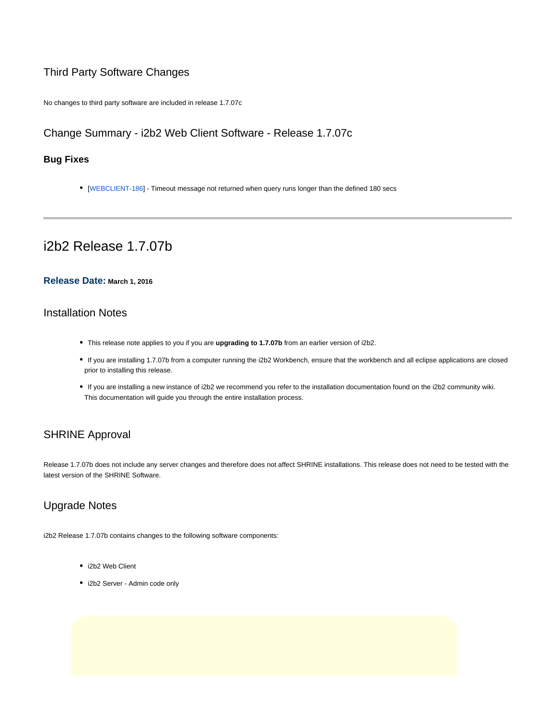# Third Party Software Changes

No changes to third party software are included in release 1.7.07c

# Change Summary - i2b2 Web Client Software - Release 1.7.07c

# **Bug Fixes**

[[WEBCLIENT-186\]](http://community.i2b2.org/jira/browse/WEBCLIENT-186) - Timeout message not returned when query runs longer than the defined 180 secs

# i2b2 Release 1.7.07b

## **Release Date: March 1, 2016**

# Installation Notes

- This release note applies to you if you are **upgrading to 1.7.07b** from an earlier version of i2b2.
- If you are installing 1.7.07b from a computer running the i2b2 Workbench, ensure that the workbench and all eclipse applications are closed prior to installing this release.
- If you are installing a new instance of i2b2 we recommend you refer to the installation documentation found on the i2b2 community wiki. This documentation will guide you through the entire installation process.

# SHRINE Approval

Release 1.7.07b does not include any server changes and therefore does not affect SHRINE installations. This release does not need to be tested with the latest version of the SHRINE Software.

# Upgrade Notes

i2b2 Release 1.7.07b contains changes to the following software components:

- i2b2 Web Client
- i2b2 Server Admin code only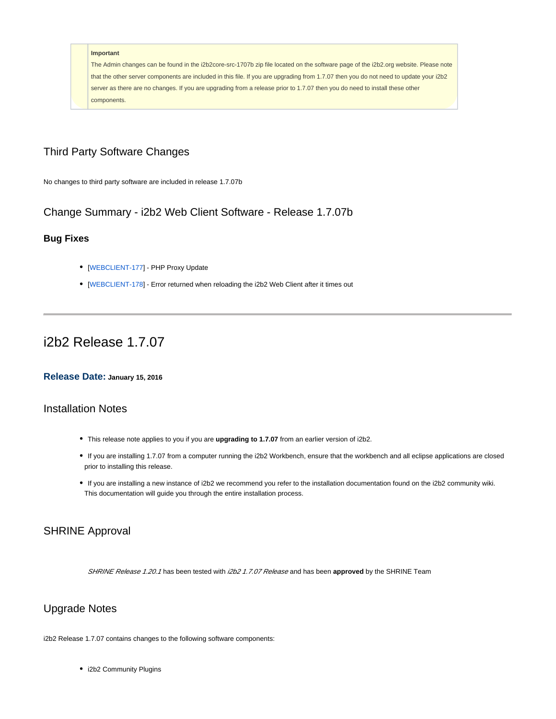#### **Important**

The Admin changes can be found in the i2b2core-src-1707b zip file located on the software page of the i2b2.org website. Please note that the other server components are included in this file. If you are upgrading from 1.7.07 then you do not need to update your i2b2 server as there are no changes. If you are upgrading from a release prior to 1.7.07 then you do need to install these other components.

# Third Party Software Changes

No changes to third party software are included in release 1.7.07b

Change Summary - i2b2 Web Client Software - Release 1.7.07b

# **Bug Fixes**

- [[WEBCLIENT-177\]](http://community.i2b2.org/jira/browse/WEBCLIENT-177) PHP Proxy Update
- [[WEBCLIENT-178\]](http://community.i2b2.org/jira/browse/WEBCLIENT-178) Error returned when reloading the i2b2 Web Client after it times out

# i2b2 Release 1.7.07

## **Release Date: January 15, 2016**

# Installation Notes

- This release note applies to you if you are **upgrading to 1.7.07** from an earlier version of i2b2.
- If you are installing 1.7.07 from a computer running the i2b2 Workbench, ensure that the workbench and all eclipse applications are closed prior to installing this release.
- If you are installing a new instance of i2b2 we recommend you refer to the installation documentation found on the i2b2 community wiki. This documentation will guide you through the entire installation process.

# SHRINE Approval

SHRINE Release 1.20.1 has been tested with i2b2 1.7.07 Release and has been approved by the SHRINE Team

# Upgrade Notes

i2b2 Release 1.7.07 contains changes to the following software components:

• i2b2 Community Plugins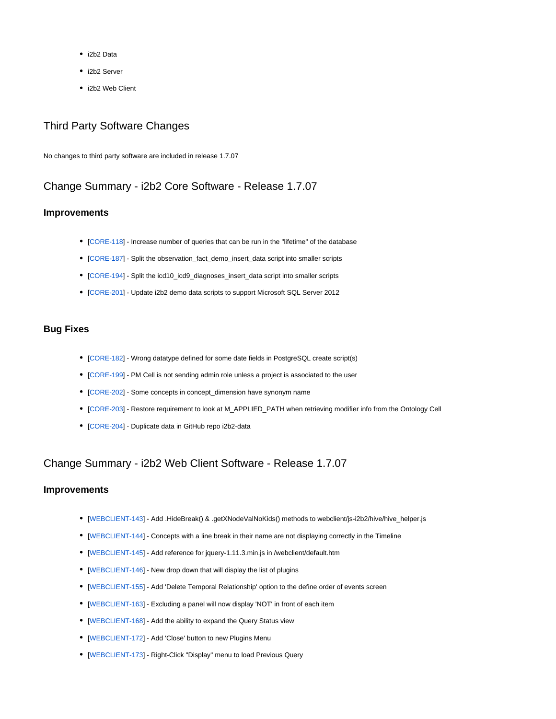- i2b2 Data
- i2b2 Server
- i2b2 Web Client

# Third Party Software Changes

No changes to third party software are included in release 1.7.07

# Change Summary - i2b2 Core Software - Release 1.7.07

### **Improvements**

- [[CORE-118\]](http://community.i2b2.org/jira/browse/CORE-118) Increase number of queries that can be run in the "lifetime" of the database
- [[CORE-187\]](http://community.i2b2.org/jira/browse/CORE-187) Split the observation\_fact\_demo\_insert\_data script into smaller scripts
- [[CORE-194\]](http://community.i2b2.org/jira/browse/CORE-194) Split the icd10\_icd9\_diagnoses\_insert\_data script into smaller scripts
- [[CORE-201\]](http://community.i2b2.org/jira/browse/CORE-201) Update i2b2 demo data scripts to support Microsoft SQL Server 2012

# **Bug Fixes**

- [[CORE-182\]](http://community.i2b2.org/jira/browse/CORE-182) Wrong datatype defined for some date fields in PostgreSQL create script(s)
- [[CORE-199\]](http://community.i2b2.org/jira/browse/CORE-199) PM Cell is not sending admin role unless a project is associated to the user
- [[CORE-202\]](http://community.i2b2.org/jira/browse/CORE-202) Some concepts in concept\_dimension have synonym name
- [[CORE-203\]](http://community.i2b2.org/jira/browse/CORE-203) Restore requirement to look at M\_APPLIED\_PATH when retrieving modifier info from the Ontology Cell
- [[CORE-204\]](http://community.i2b2.org/jira/browse/CORE-204) Duplicate data in GitHub repo i2b2-data

# Change Summary - i2b2 Web Client Software - Release 1.7.07

## **Improvements**

- [[WEBCLIENT-143\]](http://community.i2b2.org/jira/browse/WEBCLIENT-143) Add .HideBreak() & .getXNodeValNoKids() methods to webclient/js-i2b2/hive/hive\_helper.js
- [[WEBCLIENT-144\]](http://community.i2b2.org/jira/browse/WEBCLIENT-144) Concepts with a line break in their name are not displaying correctly in the Timeline
- [[WEBCLIENT-145\]](http://community.i2b2.org/jira/browse/WEBCLIENT-145) Add reference for jquery-1.11.3.min.js in /webclient/default.htm
- [[WEBCLIENT-146\]](http://community.i2b2.org/jira/browse/WEBCLIENT-146) New drop down that will display the list of plugins
- [[WEBCLIENT-155\]](http://community.i2b2.org/jira/browse/WEBCLIENT-155) Add 'Delete Temporal Relationship' option to the define order of events screen
- [[WEBCLIENT-163\]](http://community.i2b2.org/jira/browse/WEBCLIENT-163) Excluding a panel will now display 'NOT' in front of each item
- [[WEBCLIENT-168\]](http://community.i2b2.org/jira/browse/WEBCLIENT-168) Add the ability to expand the Query Status view
- [[WEBCLIENT-172\]](http://community.i2b2.org/jira/browse/WEBCLIENT-172) Add 'Close' button to new Plugins Menu
- [[WEBCLIENT-173\]](http://community.i2b2.org/jira/browse/WEBCLIENT-173) Right-Click "Display" menu to load Previous Query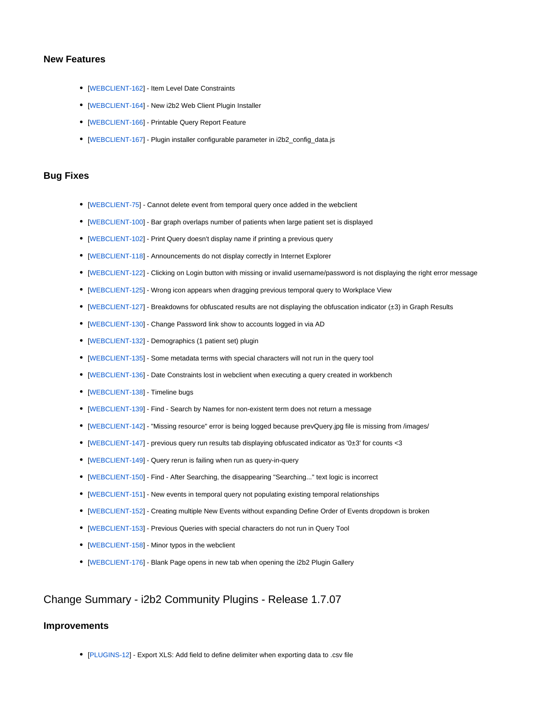### **New Features**

- [[WEBCLIENT-162\]](http://community.i2b2.org/jira/browse/WEBCLIENT-162) Item Level Date Constraints
- [[WEBCLIENT-164\]](http://community.i2b2.org/jira/browse/WEBCLIENT-164) New i2b2 Web Client Plugin Installer
- [[WEBCLIENT-166\]](http://community.i2b2.org/jira/browse/WEBCLIENT-166) Printable Query Report Feature
- [[WEBCLIENT-167\]](http://community.i2b2.org/jira/browse/WEBCLIENT-167) Plugin installer configurable parameter in i2b2\_config\_data.js

### **Bug Fixes**

- [[WEBCLIENT-75](http://community.i2b2.org/jira/browse/WEBCLIENT-75)] Cannot delete event from temporal query once added in the webclient
- [[WEBCLIENT-100\]](http://community.i2b2.org/jira/browse/WEBCLIENT-100) Bar graph overlaps number of patients when large patient set is displayed
- [[WEBCLIENT-102\]](http://community.i2b2.org/jira/browse/WEBCLIENT-102) Print Query doesn't display name if printing a previous query
- [[WEBCLIENT-118\]](http://community.i2b2.org/jira/browse/WEBCLIENT-118) Announcements do not display correctly in Internet Explorer
- [[WEBCLIENT-122\]](http://community.i2b2.org/jira/browse/WEBCLIENT-122) Clicking on Login button with missing or invalid username/password is not displaying the right error message
- [[WEBCLIENT-125\]](http://community.i2b2.org/jira/browse/WEBCLIENT-125) Wrong icon appears when dragging previous temporal query to Workplace View
- [[WEBCLIENT-127\]](http://community.i2b2.org/jira/browse/WEBCLIENT-127) Breakdowns for obfuscated results are not displaying the obfuscation indicator (±3) in Graph Results
- [[WEBCLIENT-130\]](http://community.i2b2.org/jira/browse/WEBCLIENT-130) Change Password link show to accounts logged in via AD
- [[WEBCLIENT-132\]](http://community.i2b2.org/jira/browse/WEBCLIENT-132) Demographics (1 patient set) plugin
- [[WEBCLIENT-135\]](http://community.i2b2.org/jira/browse/WEBCLIENT-135) Some metadata terms with special characters will not run in the query tool
- [[WEBCLIENT-136\]](http://community.i2b2.org/jira/browse/WEBCLIENT-136) Date Constraints lost in webclient when executing a query created in workbench
- [[WEBCLIENT-138\]](http://community.i2b2.org/jira/browse/WEBCLIENT-138) Timeline bugs
- [[WEBCLIENT-139\]](http://community.i2b2.org/jira/browse/WEBCLIENT-139) Find Search by Names for non-existent term does not return a message
- [[WEBCLIENT-142\]](http://community.i2b2.org/jira/browse/WEBCLIENT-142) "Missing resource" error is being logged because prevQuery.jpg file is missing from /images/
- [[WEBCLIENT-147\]](http://community.i2b2.org/jira/browse/WEBCLIENT-147) previous query run results tab displaying obfuscated indicator as '0±3' for counts <3
- [[WEBCLIENT-149\]](http://community.i2b2.org/jira/browse/WEBCLIENT-149) Query rerun is failing when run as query-in-query
- [[WEBCLIENT-150\]](http://community.i2b2.org/jira/browse/WEBCLIENT-150) Find After Searching, the disappearing "Searching..." text logic is incorrect
- [[WEBCLIENT-151\]](http://community.i2b2.org/jira/browse/WEBCLIENT-151) New events in temporal query not populating existing temporal relationships
- [[WEBCLIENT-152\]](http://community.i2b2.org/jira/browse/WEBCLIENT-152) Creating multiple New Events without expanding Define Order of Events dropdown is broken
- [[WEBCLIENT-153\]](http://community.i2b2.org/jira/browse/WEBCLIENT-153) Previous Queries with special characters do not run in Query Tool
- [[WEBCLIENT-158\]](http://community.i2b2.org/jira/browse/WEBCLIENT-158) Minor typos in the webclient
- [[WEBCLIENT-176\]](http://community.i2b2.org/jira/browse/WEBCLIENT-176) Blank Page opens in new tab when opening the i2b2 Plugin Gallery

# Change Summary - i2b2 Community Plugins - Release 1.7.07

### **Improvements**

[[PLUGINS-12\]](http://community.i2b2.org/jira/browse/PLUGINS-12) - Export XLS: Add field to define delimiter when exporting data to .csv file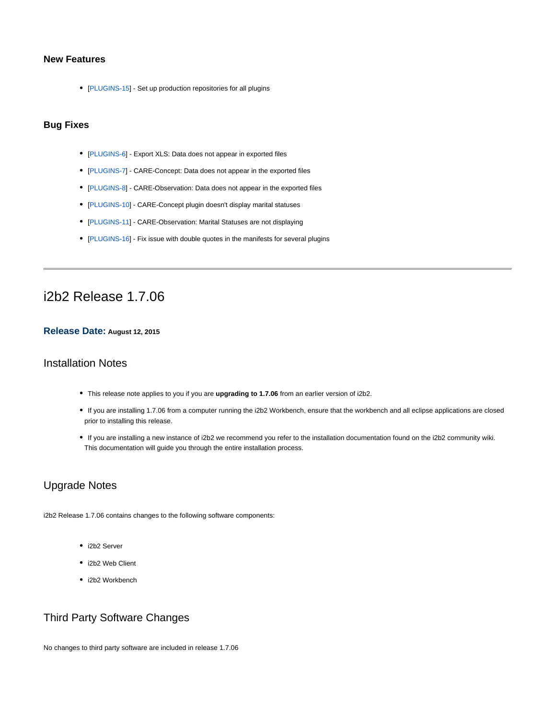# **New Features**

• [[PLUGINS-15\]](http://community.i2b2.org/jira/browse/PLUGINS-15) - Set up production repositories for all plugins

# **Bug Fixes**

- [[PLUGINS-6](http://community.i2b2.org/jira/browse/PLUGINS-6)] Export XLS: Data does not appear in exported files
- [[PLUGINS-7](http://community.i2b2.org/jira/browse/PLUGINS-7)] CARE-Concept: Data does not appear in the exported files
- [[PLUGINS-8](http://community.i2b2.org/jira/browse/PLUGINS-8)] CARE-Observation: Data does not appear in the exported files
- [[PLUGINS-10\]](http://community.i2b2.org/jira/browse/PLUGINS-10) CARE-Concept plugin doesn't display marital statuses
- [[PLUGINS-11\]](http://community.i2b2.org/jira/browse/PLUGINS-11) CARE-Observation: Marital Statuses are not displaying
- [[PLUGINS-16\]](http://community.i2b2.org/jira/browse/PLUGINS-16) Fix issue with double quotes in the manifests for several plugins

# i2b2 Release 1.7.06

## **Release Date: August 12, 2015**

# Installation Notes

- This release note applies to you if you are **upgrading to 1.7.06** from an earlier version of i2b2.
- If you are installing 1.7.06 from a computer running the i2b2 Workbench, ensure that the workbench and all eclipse applications are closed prior to installing this release.
- If you are installing a new instance of i2b2 we recommend you refer to the installation documentation found on the i2b2 community wiki. This documentation will guide you through the entire installation process.

# Upgrade Notes

i2b2 Release 1.7.06 contains changes to the following software components:

- i2b2 Server
- i2b2 Web Client
- i2b2 Workbench

# Third Party Software Changes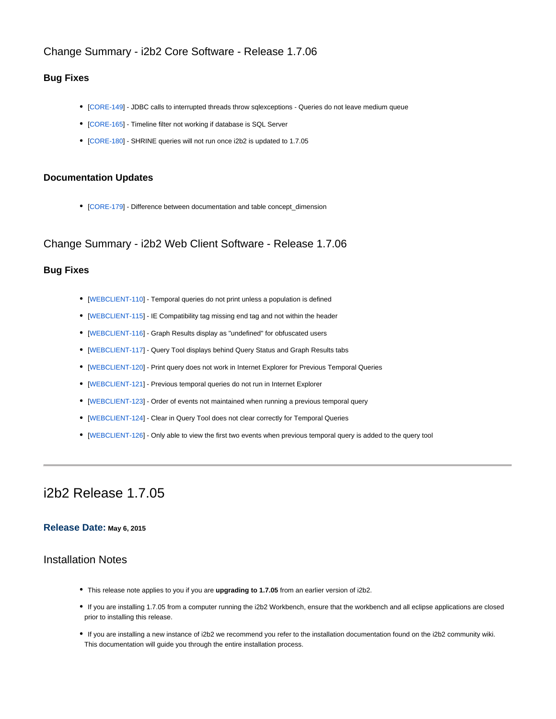# Change Summary - i2b2 Core Software - Release 1.7.06

## **Bug Fixes**

- [[CORE-149\]](http://community.i2b2.org/jira/browse/CORE-149) JDBC calls to interrupted threads throw sqlexceptions Queries do not leave medium queue
- [[CORE-165\]](http://community.i2b2.org/jira/browse/CORE-165) Timeline filter not working if database is SQL Server
- [[CORE-180\]](http://community.i2b2.org/jira/browse/CORE-180) SHRINE queries will not run once i2b2 is updated to 1.7.05

## **Documentation Updates**

[[CORE-179\]](http://community.i2b2.org/jira/browse/CORE-179) - Difference between documentation and table concept\_dimension

Change Summary - i2b2 Web Client Software - Release 1.7.06

## **Bug Fixes**

- [[WEBCLIENT-110\]](http://community.i2b2.org/jira/browse/WEBCLIENT-110) Temporal queries do not print unless a population is defined
- [[WEBCLIENT-115\]](http://community.i2b2.org/jira/browse/WEBCLIENT-115) IE Compatibility tag missing end tag and not within the header
- [[WEBCLIENT-116\]](http://community.i2b2.org/jira/browse/WEBCLIENT-116) Graph Results display as "undefined" for obfuscated users
- [[WEBCLIENT-117\]](http://community.i2b2.org/jira/browse/WEBCLIENT-117) Query Tool displays behind Query Status and Graph Results tabs
- [[WEBCLIENT-120\]](http://community.i2b2.org/jira/browse/WEBCLIENT-120) Print query does not work in Internet Explorer for Previous Temporal Queries
- [[WEBCLIENT-121\]](http://community.i2b2.org/jira/browse/WEBCLIENT-121) Previous temporal queries do not run in Internet Explorer
- [[WEBCLIENT-123\]](http://community.i2b2.org/jira/browse/WEBCLIENT-123) Order of events not maintained when running a previous temporal query
- [[WEBCLIENT-124\]](http://community.i2b2.org/jira/browse/WEBCLIENT-124) Clear in Query Tool does not clear correctly for Temporal Queries
- [[WEBCLIENT-126\]](http://community.i2b2.org/jira/browse/WEBCLIENT-126) Only able to view the first two events when previous temporal query is added to the query tool

# i2b2 Release 1.7.05

# **Release Date: May 6, 2015**

# Installation Notes

- This release note applies to you if you are **upgrading to 1.7.05** from an earlier version of i2b2.
- If you are installing 1.7.05 from a computer running the i2b2 Workbench, ensure that the workbench and all eclipse applications are closed prior to installing this release.
- If you are installing a new instance of i2b2 we recommend you refer to the installation documentation found on the i2b2 community wiki. This documentation will guide you through the entire installation process.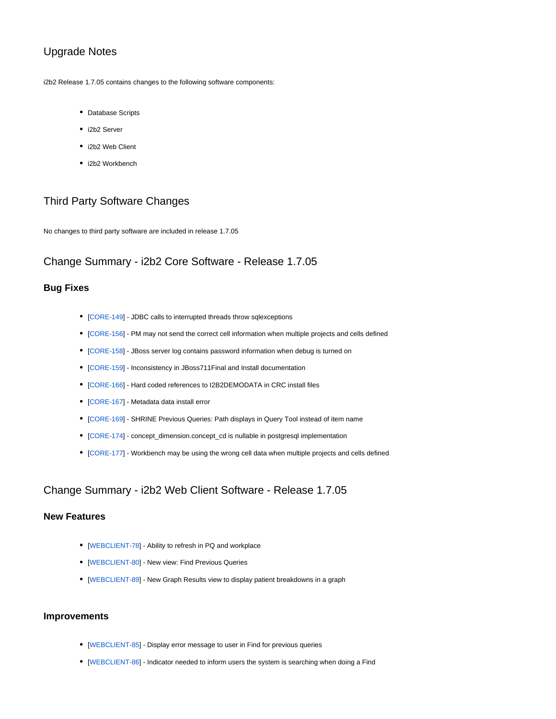# Upgrade Notes

i2b2 Release 1.7.05 contains changes to the following software components:

- Database Scripts
- i2b2 Server
- i2b2 Web Client
- i2b2 Workbench

# Third Party Software Changes

No changes to third party software are included in release 1.7.05

# Change Summary - i2b2 Core Software - Release 1.7.05

### **Bug Fixes**

- [[CORE-149\]](http://community.i2b2.org/jira/browse/CORE-149) JDBC calls to interrupted threads throw sqlexceptions
- [[CORE-156\]](http://community.i2b2.org/jira/browse/CORE-156) PM may not send the correct cell information when multiple projects and cells defined
- [[CORE-158\]](http://community.i2b2.org/jira/browse/CORE-158) JBoss server log contains password information when debug is turned on
- [[CORE-159\]](http://community.i2b2.org/jira/browse/CORE-159) Inconsistency in JBoss711Final and Install documentation
- [[CORE-166\]](http://community.i2b2.org/jira/browse/CORE-166) Hard coded references to I2B2DEMODATA in CRC install files
- [[CORE-167\]](http://community.i2b2.org/jira/browse/CORE-167) Metadata data install error
- [[CORE-169\]](http://community.i2b2.org/jira/browse/CORE-169) SHRINE Previous Queries: Path displays in Query Tool instead of item name
- [[CORE-174\]](http://community.i2b2.org/jira/browse/CORE-174) concept\_dimension.concept\_cd is nullable in postgresql implementation
- [[CORE-177\]](http://community.i2b2.org/jira/browse/CORE-177) Workbench may be using the wrong cell data when multiple projects and cells defined

# Change Summary - i2b2 Web Client Software - Release 1.7.05

## **New Features**

- [[WEBCLIENT-78](http://community.i2b2.org/jira/browse/WEBCLIENT-78)] Ability to refresh in PQ and workplace
- [[WEBCLIENT-80](http://community.i2b2.org/jira/browse/WEBCLIENT-80)] New view: Find Previous Queries
- [[WEBCLIENT-89](http://community.i2b2.org/jira/browse/WEBCLIENT-89)] New Graph Results view to display patient breakdowns in a graph

## **Improvements**

- [[WEBCLIENT-85](http://community.i2b2.org/jira/browse/WEBCLIENT-85)] Display error message to user in Find for previous queries
- [[WEBCLIENT-86](http://community.i2b2.org/jira/browse/WEBCLIENT-86)] Indicator needed to inform users the system is searching when doing a Find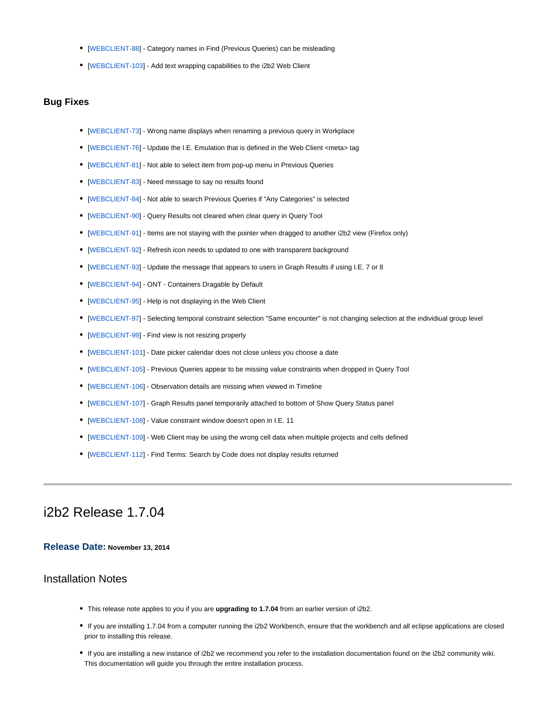- [[WEBCLIENT-88](http://community.i2b2.org/jira/browse/WEBCLIENT-88)] Category names in Find (Previous Queries) can be misleading
- [[WEBCLIENT-103\]](http://community.i2b2.org/jira/browse/WEBCLIENT-103) Add text wrapping capabilities to the i2b2 Web Client

### **Bug Fixes**

- [[WEBCLIENT-73](http://community.i2b2.org/jira/browse/WEBCLIENT-73)] Wrong name displays when renaming a previous query in Workplace
- [[WEBCLIENT-76](http://community.i2b2.org/jira/browse/WEBCLIENT-76)] Update the I.E. Emulation that is defined in the Web Client <meta> tag
- [[WEBCLIENT-81](http://community.i2b2.org/jira/browse/WEBCLIENT-81)] Not able to select item from pop-up menu in Previous Queries
- [[WEBCLIENT-83](http://community.i2b2.org/jira/browse/WEBCLIENT-83)] Need message to say no results found
- [[WEBCLIENT-84](http://community.i2b2.org/jira/browse/WEBCLIENT-84)] Not able to search Previous Queries if "Any Categories" is selected
- [[WEBCLIENT-90](http://community.i2b2.org/jira/browse/WEBCLIENT-90)] Query Results not cleared when clear query in Query Tool
- [[WEBCLIENT-91](http://community.i2b2.org/jira/browse/WEBCLIENT-91)] Items are not staying with the pointer when dragged to another i2b2 view (Firefox only)
- [[WEBCLIENT-92](http://community.i2b2.org/jira/browse/WEBCLIENT-92)] Refresh icon needs to updated to one with transparent background
- [[WEBCLIENT-93](http://community.i2b2.org/jira/browse/WEBCLIENT-93)] Update the message that appears to users in Graph Results if using I.E. 7 or 8
- [[WEBCLIENT-94](http://community.i2b2.org/jira/browse/WEBCLIENT-94)] ONT Containers Dragable by Default
- [[WEBCLIENT-95](http://community.i2b2.org/jira/browse/WEBCLIENT-95)] Help is not displaying in the Web Client
- [[WEBCLIENT-97](http://community.i2b2.org/jira/browse/WEBCLIENT-97)] Selecting temporal constraint selection "Same encounter" is not changing selection at the individiual group level
- [[WEBCLIENT-99](http://community.i2b2.org/jira/browse/WEBCLIENT-99)] Find view is not resizing properly
- [[WEBCLIENT-101\]](http://community.i2b2.org/jira/browse/WEBCLIENT-101) Date picker calendar does not close unless you choose a date
- [[WEBCLIENT-105\]](http://community.i2b2.org/jira/browse/WEBCLIENT-105) Previous Queries appear to be missing value constraints when dropped in Query Tool
- [[WEBCLIENT-106\]](http://community.i2b2.org/jira/browse/WEBCLIENT-106) Observation details are missing when viewed in Timeline
- [[WEBCLIENT-107\]](http://community.i2b2.org/jira/browse/WEBCLIENT-107) Graph Results panel temporarily attached to bottom of Show Query Status panel
- [[WEBCLIENT-108\]](http://community.i2b2.org/jira/browse/WEBCLIENT-108) Value constraint window doesn't open in I.E. 11
- [[WEBCLIENT-109\]](http://community.i2b2.org/jira/browse/WEBCLIENT-109) Web Client may be using the wrong cell data when multiple projects and cells defined
- [[WEBCLIENT-112\]](http://community.i2b2.org/jira/browse/WEBCLIENT-112) Find Terms: Search by Code does not display results returned

# i2b2 Release 1.7.04

### **Release Date: November 13, 2014**

# Installation Notes

- This release note applies to you if you are **upgrading to 1.7.04** from an earlier version of i2b2.
- If you are installing 1.7.04 from a computer running the i2b2 Workbench, ensure that the workbench and all eclipse applications are closed prior to installing this release.
- If you are installing a new instance of i2b2 we recommend you refer to the installation documentation found on the i2b2 community wiki. This documentation will guide you through the entire installation process.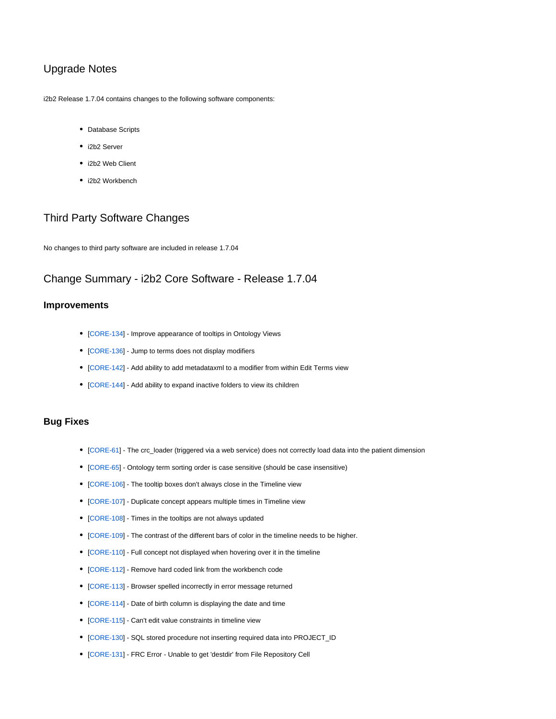# Upgrade Notes

i2b2 Release 1.7.04 contains changes to the following software components:

- Database Scripts
- i2b2 Server
- i2b2 Web Client
- i2b2 Workbench

# Third Party Software Changes

No changes to third party software are included in release 1.7.04

# Change Summary - i2b2 Core Software - Release 1.7.04

# **Improvements**

- [[CORE-134\]](http://community.i2b2.org/jira/browse/CORE-134) Improve appearance of tooltips in Ontology Views
- [[CORE-136\]](http://community.i2b2.org/jira/browse/CORE-136) Jump to terms does not display modifiers
- [[CORE-142\]](http://community.i2b2.org/jira/browse/CORE-142) Add ability to add metadataxml to a modifier from within Edit Terms view
- [[CORE-144\]](http://community.i2b2.org/jira/browse/CORE-144) Add ability to expand inactive folders to view its children

## **Bug Fixes**

- [[CORE-61](http://community.i2b2.org/jira/browse/CORE-61)] The crc\_loader (triggered via a web service) does not correctly load data into the patient dimension
- [[CORE-65](http://community.i2b2.org/jira/browse/CORE-65)] Ontology term sorting order is case sensitive (should be case insensitive)
- [[CORE-106\]](http://community.i2b2.org/jira/browse/CORE-106) The tooltip boxes don't always close in the Timeline view
- [[CORE-107\]](http://community.i2b2.org/jira/browse/CORE-107) Duplicate concept appears multiple times in Timeline view
- [[CORE-108\]](http://community.i2b2.org/jira/browse/CORE-108) Times in the tooltips are not always updated
- [[CORE-109\]](http://community.i2b2.org/jira/browse/CORE-109) The contrast of the different bars of color in the timeline needs to be higher.
- [[CORE-110\]](http://community.i2b2.org/jira/browse/CORE-110) Full concept not displayed when hovering over it in the timeline
- [[CORE-112\]](http://community.i2b2.org/jira/browse/CORE-112) Remove hard coded link from the workbench code
- [[CORE-113\]](http://community.i2b2.org/jira/browse/CORE-113) Browser spelled incorrectly in error message returned
- [[CORE-114\]](http://community.i2b2.org/jira/browse/CORE-114) Date of birth column is displaying the date and time
- [[CORE-115\]](http://community.i2b2.org/jira/browse/CORE-115) Can't edit value constraints in timeline view
- [[CORE-130\]](http://community.i2b2.org/jira/browse/CORE-130) SQL stored procedure not inserting required data into PROJECT\_ID
- [[CORE-131\]](http://community.i2b2.org/jira/browse/CORE-131) FRC Error Unable to get 'destdir' from File Repository Cell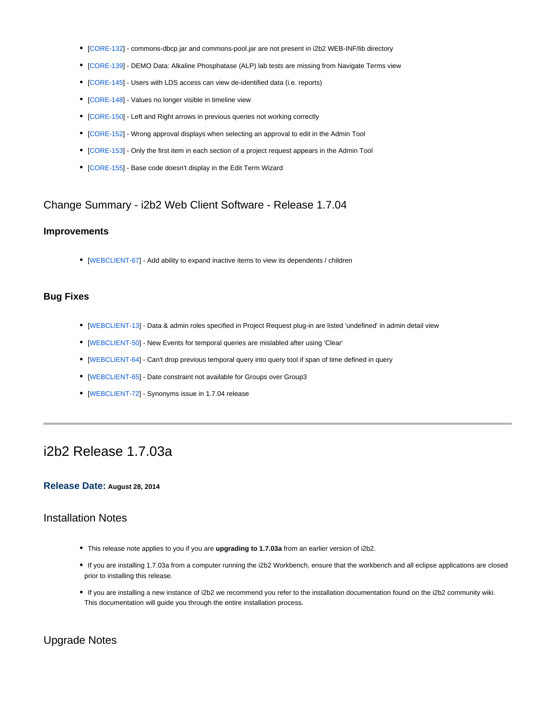- [[CORE-132\]](http://community.i2b2.org/jira/browse/CORE-132) commons-dbcp.jar and commons-pool.jar are not present in i2b2 WEB-INF/lib directory
- [[CORE-139\]](http://community.i2b2.org/jira/browse/CORE-139) DEMO Data: Alkaline Phosphatase (ALP) lab tests are missing from Navigate Terms view
- [[CORE-145\]](http://community.i2b2.org/jira/browse/CORE-145) Users with LDS access can view de-identified data (i.e. reports)
- [[CORE-148\]](http://community.i2b2.org/jira/browse/CORE-148) Values no longer visible in timeline view
- [[CORE-150\]](http://community.i2b2.org/jira/browse/CORE-150) Left and Right arrows in previous queries not working correctly
- [[CORE-152\]](http://community.i2b2.org/jira/browse/CORE-152) Wrong approval displays when selecting an approval to edit in the Admin Tool
- [[CORE-153\]](http://community.i2b2.org/jira/browse/CORE-153) Only the first item in each section of a project request appears in the Admin Tool
- [[CORE-155\]](http://community.i2b2.org/jira/browse/CORE-155) Base code doesn't display in the Edit Term Wizard

# Change Summary - i2b2 Web Client Software - Release 1.7.04

### **Improvements**

• [[WEBCLIENT-67](http://community.i2b2.org/jira/browse/WEBCLIENT-67)] - Add ability to expand inactive items to view its dependents / children

### **Bug Fixes**

- [[WEBCLIENT-13](http://community.i2b2.org/jira/browse/WEBCLIENT-13)] Data & admin roles specified in Project Request plug-in are listed 'undefined' in admin detail view
- [[WEBCLIENT-50](http://community.i2b2.org/jira/browse/WEBCLIENT-50)] New Events for temporal queries are mislabled after using 'Clear'
- [[WEBCLIENT-64](http://community.i2b2.org/jira/browse/WEBCLIENT-64)] Can't drop previous temporal query into query tool if span of time defined in query
- [[WEBCLIENT-65](http://community.i2b2.org/jira/browse/WEBCLIENT-65)] Date constraint not available for Groups over Group3
- [[WEBCLIENT-72](http://community.i2b2.org/jira/browse/WEBCLIENT-72)] Synonyms issue in 1.7.04 release

# i2b2 Release 1.7.03a

### **Release Date: August 28, 2014**

## Installation Notes

- This release note applies to you if you are **upgrading to 1.7.03a** from an earlier version of i2b2.
- If you are installing 1.7.03a from a computer running the i2b2 Workbench, ensure that the workbench and all eclipse applications are closed prior to installing this release.
- If you are installing a new instance of i2b2 we recommend you refer to the installation documentation found on the i2b2 community wiki. This documentation will guide you through the entire installation process.

# Upgrade Notes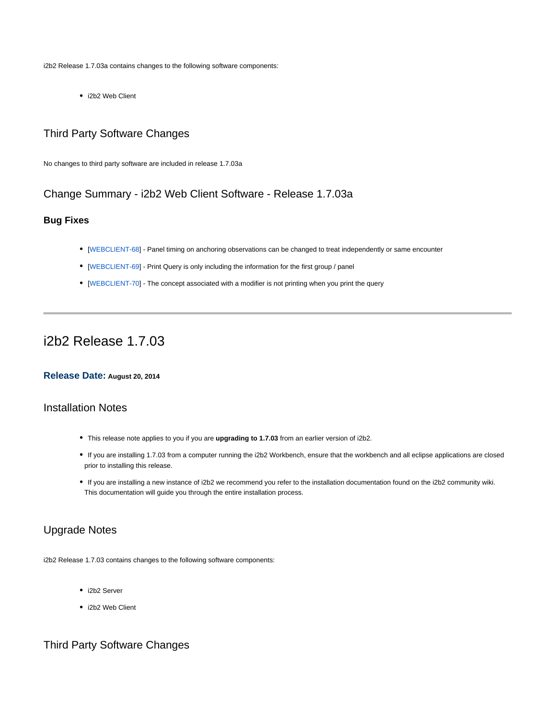i2b2 Release 1.7.03a contains changes to the following software components:

• i2b2 Web Client

# Third Party Software Changes

No changes to third party software are included in release 1.7.03a

# Change Summary - i2b2 Web Client Software - Release 1.7.03a

# **Bug Fixes**

- [[WEBCLIENT-68](http://community.i2b2.org/jira/browse/WEBCLIENT-68)] Panel timing on anchoring observations can be changed to treat independently or same encounter
- [[WEBCLIENT-69](http://community.i2b2.org/jira/browse/WEBCLIENT-69)] Print Query is only including the information for the first group / panel
- [[WEBCLIENT-70](http://community.i2b2.org/jira/browse/WEBCLIENT-70)] The concept associated with a modifier is not printing when you print the query

# i2b2 Release 1.7.03

### **Release Date: August 20, 2014**

# Installation Notes

- This release note applies to you if you are **upgrading to 1.7.03** from an earlier version of i2b2.
- If you are installing 1.7.03 from a computer running the i2b2 Workbench, ensure that the workbench and all eclipse applications are closed prior to installing this release.
- If you are installing a new instance of i2b2 we recommend you refer to the installation documentation found on the i2b2 community wiki. This documentation will guide you through the entire installation process.

# Upgrade Notes

i2b2 Release 1.7.03 contains changes to the following software components:

- i2b2 Server
- i2b2 Web Client

# Third Party Software Changes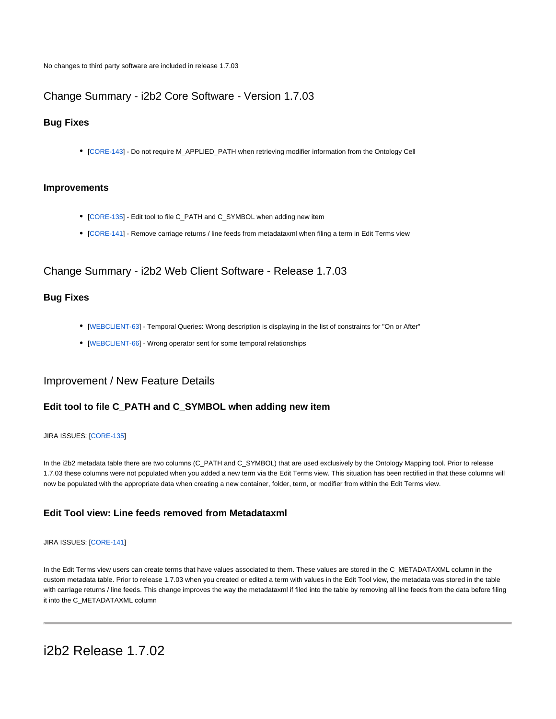No changes to third party software are included in release 1.7.03

# Change Summary - i2b2 Core Software - Version 1.7.03

## **Bug Fixes**

[[CORE-143\]](http://community.i2b2.org/jira/browse/CORE-143) - Do not require M\_APPLIED\_PATH when retrieving modifier information from the Ontology Cell

### **Improvements**

- [[CORE-135\]](http://community.i2b2.org/jira/browse/CORE-135) Edit tool to file C\_PATH and C\_SYMBOL when adding new item
- [[CORE-141\]](http://community.i2b2.org/jira/browse/CORE-141) Remove carriage returns / line feeds from metadataxml when filing a term in Edit Terms view

# Change Summary - i2b2 Web Client Software - Release 1.7.03

# **Bug Fixes**

- [[WEBCLIENT-63](http://community.i2b2.org/jira/browse/WEBCLIENT-63)] Temporal Queries: Wrong description is displaying in the list of constraints for "On or After"
- [[WEBCLIENT-66](http://community.i2b2.org/jira/browse/WEBCLIENT-66)] Wrong operator sent for some temporal relationships

# Improvement / New Feature Details

## **Edit tool to file C\_PATH and C\_SYMBOL when adding new item**

### JIRA ISSUES: [\[CORE-135\]](http://community.i2b2.org/jira/browse/CORE-135)

In the i2b2 metadata table there are two columns (C\_PATH and C\_SYMBOL) that are used exclusively by the Ontology Mapping tool. Prior to release 1.7.03 these columns were not populated when you added a new term via the Edit Terms view. This situation has been rectified in that these columns will now be populated with the appropriate data when creating a new container, folder, term, or modifier from within the Edit Terms view.

## **Edit Tool view: Line feeds removed from Metadataxml**

### JIRA ISSUES: [\[CORE-141\]](http://community.i2b2.org/jira/browse/CORE-141)

In the Edit Terms view users can create terms that have values associated to them. These values are stored in the C\_METADATAXML column in the custom metadata table. Prior to release 1.7.03 when you created or edited a term with values in the Edit Tool view, the metadata was stored in the table with carriage returns / line feeds. This change improves the way the metadataxml if filed into the table by removing all line feeds from the data before filing it into the C\_METADATAXML column

i2b2 Release 1.7.02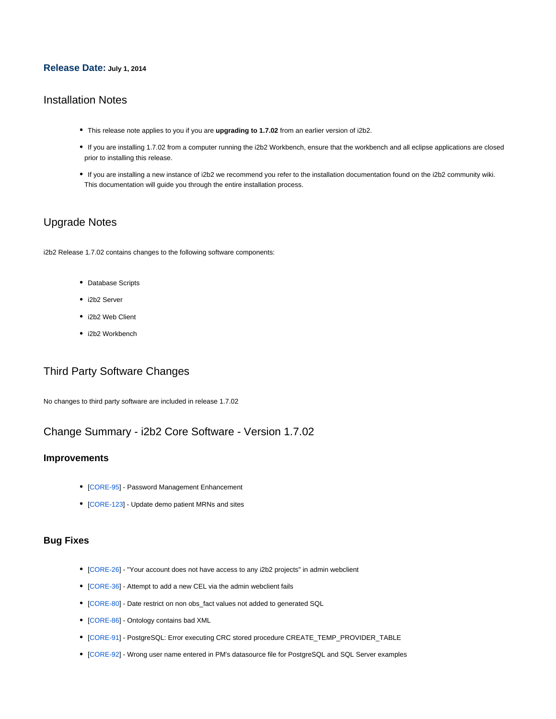### **Release Date: July 1, 2014**

# Installation Notes

- This release note applies to you if you are **upgrading to 1.7.02** from an earlier version of i2b2.
- If you are installing 1.7.02 from a computer running the i2b2 Workbench, ensure that the workbench and all eclipse applications are closed prior to installing this release.
- If you are installing a new instance of i2b2 we recommend you refer to the installation documentation found on the i2b2 community wiki. This documentation will guide you through the entire installation process.

# Upgrade Notes

i2b2 Release 1.7.02 contains changes to the following software components:

- Database Scripts
- i2b2 Server
- i2b2 Web Client
- i2b2 Workbench

# Third Party Software Changes

No changes to third party software are included in release 1.7.02

# Change Summary - i2b2 Core Software - Version 1.7.02

### **Improvements**

- [[CORE-95](http://community.i2b2.org/jira/browse/CORE-95)] Password Management Enhancement
- [[CORE-123\]](http://community.i2b2.org/jira/browse/CORE-123) Update demo patient MRNs and sites

### **Bug Fixes**

- [[CORE-26](http://community.i2b2.org/jira/browse/CORE-26)] "Your account does not have access to any i2b2 projects" in admin webclient
- [[CORE-36](http://community.i2b2.org/jira/browse/CORE-36)] Attempt to add a new CEL via the admin webclient fails
- [[CORE-80](http://community.i2b2.org/jira/browse/CORE-80)] Date restrict on non obs\_fact values not added to generated SQL
- [[CORE-86](http://community.i2b2.org/jira/browse/CORE-86)] Ontology contains bad XML
- [[CORE-91](http://community.i2b2.org/jira/browse/CORE-91)] PostgreSQL: Error executing CRC stored procedure CREATE\_TEMP\_PROVIDER\_TABLE
- [[CORE-92](http://community.i2b2.org/jira/browse/CORE-92)] Wrong user name entered in PM's datasource file for PostgreSQL and SQL Server examples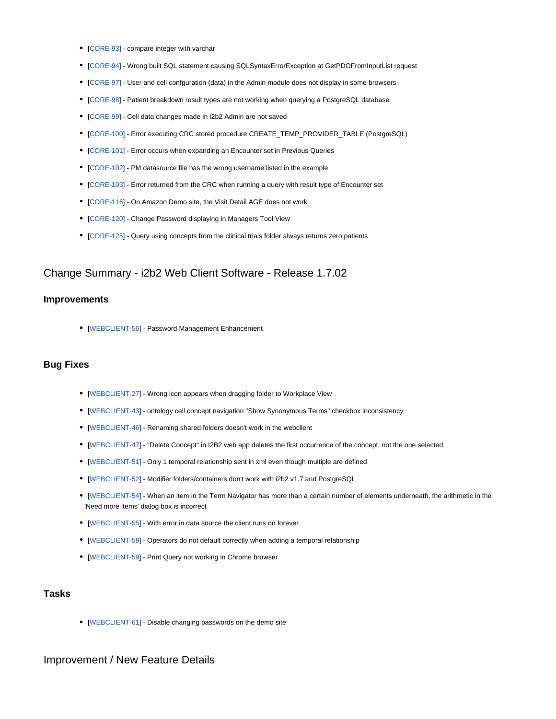- [[CORE-93](http://community.i2b2.org/jira/browse/CORE-93)] compare integer with varchar
- [[CORE-94](http://community.i2b2.org/jira/browse/CORE-94)] Wrong built SQL statement causing SQLSyntaxErrorException at GetPDOFromInputList request
- [[CORE-97](http://community.i2b2.org/jira/browse/CORE-97)] User and cell confguration (data) in the Admin module does not display in some browsers
- [[CORE-98](http://community.i2b2.org/jira/browse/CORE-98)] Patient breakdown result types are not working when querying a PostgreSQL database
- [[CORE-99](http://community.i2b2.org/jira/browse/CORE-99)] Cell data changes made in i2b2 Admin are not saved
- [[CORE-100\]](http://community.i2b2.org/jira/browse/CORE-100) Error executing CRC stored procedure CREATE\_TEMP\_PROVIDER\_TABLE (PostgreSQL)
- [[CORE-101\]](http://community.i2b2.org/jira/browse/CORE-101) Error occurs when expanding an Encounter set in Previous Queries
- [[CORE-102\]](http://community.i2b2.org/jira/browse/CORE-102) PM datasource file has the wrong username listed in the example
- [[CORE-103\]](http://community.i2b2.org/jira/browse/CORE-103) Error returned from the CRC when running a query with result type of Encounter set
- [[CORE-116\]](http://community.i2b2.org/jira/browse/CORE-116) On Amazon Demo site, the Visit Detail AGE does not work
- [[CORE-120\]](http://community.i2b2.org/jira/browse/CORE-120) Change Password displaying in Managers Tool View
- [[CORE-125\]](http://community.i2b2.org/jira/browse/CORE-125) Query using concepts from the clinical trials folder always returns zero patients

## Change Summary - i2b2 Web Client Software - Release 1.7.02

## **Improvements**

• [[WEBCLIENT-56](http://community.i2b2.org/jira/browse/WEBCLIENT-56)] - Password Management Enhancement

## **Bug Fixes**

- [[WEBCLIENT-27](http://community.i2b2.org/jira/browse/WEBCLIENT-27)] Wrong icon appears when dragging folder to Workplace View
- [[WEBCLIENT-43](http://community.i2b2.org/jira/browse/WEBCLIENT-43)] ontology cell concept navigation "Show Synonymous Terms" checkbox inconsistency
- [[WEBCLIENT-46](http://community.i2b2.org/jira/browse/WEBCLIENT-46)] Renaming shared folders doesn't work in the webclient
- [[WEBCLIENT-47](http://community.i2b2.org/jira/browse/WEBCLIENT-47)] "Delete Concept" in I2B2 web app deletes the first occurrence of the concept, not the one selected
- [[WEBCLIENT-51](http://community.i2b2.org/jira/browse/WEBCLIENT-51)] Only 1 temporal relationship sent in xml even though multiple are defined
- [[WEBCLIENT-52](http://community.i2b2.org/jira/browse/WEBCLIENT-52)] Modifier folders/containers don't work with i2b2 v1.7 and PostgreSQL
- [[WEBCLIENT-54](http://community.i2b2.org/jira/browse/WEBCLIENT-54)] When an item in the Term Navigator has more than a certain number of elements underneath, the arithmetic in the 'Need more items' dialog box is incorrect
- [[WEBCLIENT-55](http://community.i2b2.org/jira/browse/WEBCLIENT-55)] With error in data source the client runs on forever
- [[WEBCLIENT-58](http://community.i2b2.org/jira/browse/WEBCLIENT-58)] Operators do not default correctly when adding a temporal relationship
- [[WEBCLIENT-59](http://community.i2b2.org/jira/browse/WEBCLIENT-59)] Print Query not working in Chrome browser

# **Tasks**

• [[WEBCLIENT-61](http://community.i2b2.org/jira/browse/WEBCLIENT-61)] - Disable changing passwords on the demo site

# Improvement / New Feature Details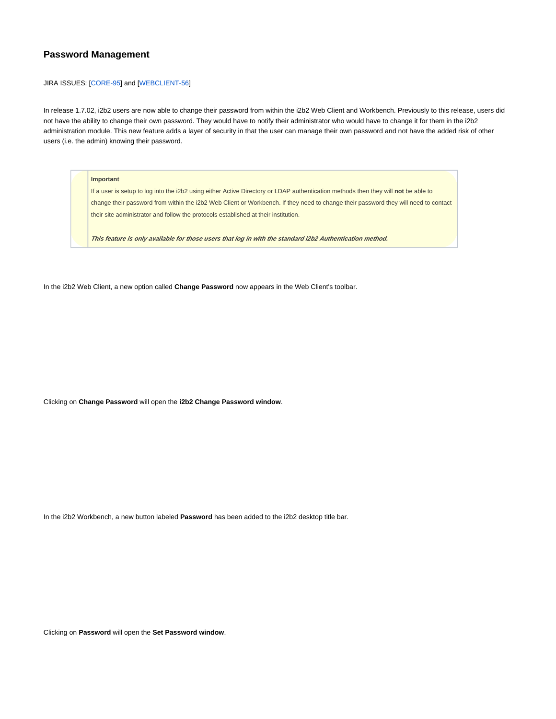# **Password Management**

#### JIRA ISSUES: [\[CORE-95\]](http://community.i2b2.org/jira/browse/CORE-95) and [\[WEBCLIENT-56](http://community.i2b2.org/jira/browse/WEBCLIENT-56)]

In release 1.7.02, i2b2 users are now able to change their password from within the i2b2 Web Client and Workbench. Previously to this release, users did not have the ability to change their own password. They would have to notify their administrator who would have to change it for them in the i2b2 administration module. This new feature adds a layer of security in that the user can manage their own password and not have the added risk of other users (i.e. the admin) knowing their password.

#### **Important**

If a user is setup to log into the i2b2 using either Active Directory or LDAP authentication methods then they will **not** be able to change their password from within the i2b2 Web Client or Workbench. If they need to change their password they will need to contact their site administrator and follow the protocols established at their institution.

**This feature is only available for those users that log in with the standard i2b2 Authentication method.**

In the i2b2 Web Client, a new option called **Change Password** now appears in the Web Client's toolbar.

Clicking on **Change Password** will open the **i2b2 Change Password window**.

In the i2b2 Workbench, a new button labeled **Password** has been added to the i2b2 desktop title bar.

Clicking on **Password** will open the **Set Password window**.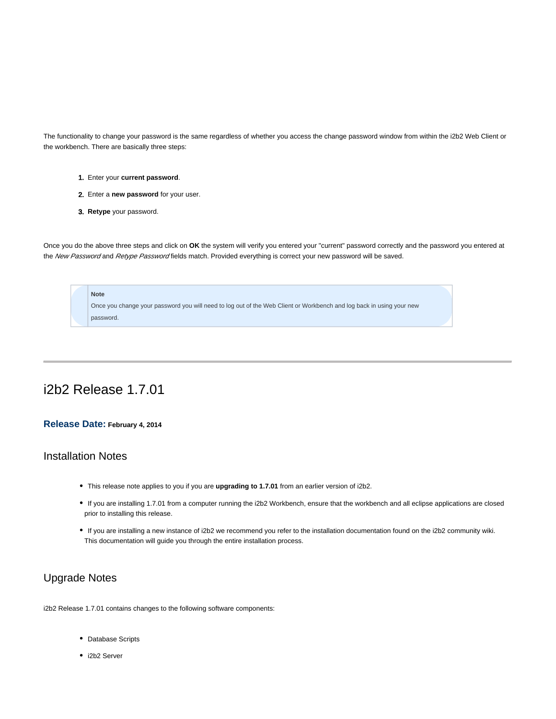The functionality to change your password is the same regardless of whether you access the change password window from within the i2b2 Web Client or the workbench. There are basically three steps:

- 1. Enter your **current password**.
- 2. Enter a **new password** for your user.
- 3. **Retype** your password.

Once you do the above three steps and click on **OK** the system will verify you entered your "current" password correctly and the password you entered at the New Password and Retype Password fields match. Provided everything is correct your new password will be saved.



# i2b2 Release 1.7.01

### **Release Date: February 4, 2014**

# Installation Notes

- This release note applies to you if you are **upgrading to 1.7.01** from an earlier version of i2b2.
- If you are installing 1.7.01 from a computer running the i2b2 Workbench, ensure that the workbench and all eclipse applications are closed prior to installing this release.
- If you are installing a new instance of i2b2 we recommend you refer to the installation documentation found on the i2b2 community wiki. This documentation will guide you through the entire installation process.

# Upgrade Notes

i2b2 Release 1.7.01 contains changes to the following software components:

- Database Scripts
- i2b2 Server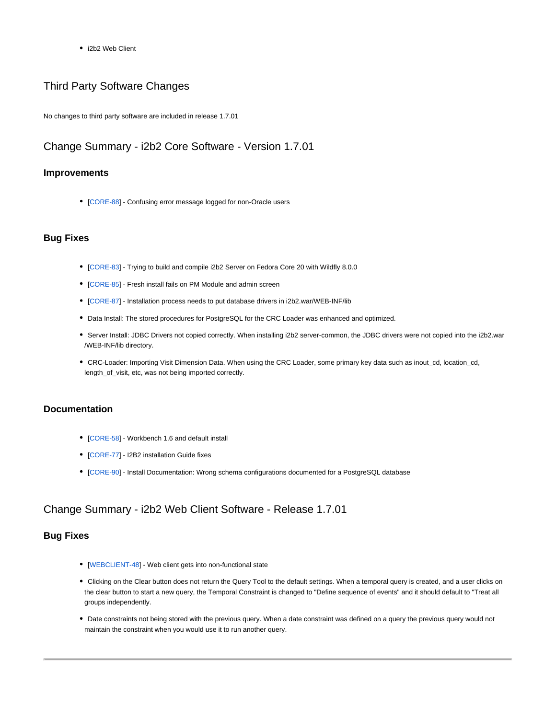• i2b2 Web Client

# Third Party Software Changes

No changes to third party software are included in release 1.7.01

# Change Summary - i2b2 Core Software - Version 1.7.01

### **Improvements**

• [[CORE-88](http://community.i2b2.org/jira/browse/CORE-88)] - Confusing error message logged for non-Oracle users

### **Bug Fixes**

- [[CORE-83](http://community.i2b2.org/jira/browse/CORE-83)] Trying to build and compile i2b2 Server on Fedora Core 20 with Wildfly 8.0.0
- [[CORE-85](http://community.i2b2.org/jira/browse/CORE-85)] Fresh install fails on PM Module and admin screen
- [[CORE-87](http://community.i2b2.org/jira/browse/CORE-87)] Installation process needs to put database drivers in i2b2.war/WEB-INF/lib
- Data Install: The stored procedures for PostgreSQL for the CRC Loader was enhanced and optimized.
- Server Install: JDBC Drivers not copied correctly. When installing i2b2 server-common, the JDBC drivers were not copied into the i2b2.war /WEB-INF/lib directory.
- CRC-Loader: Importing Visit Dimension Data. When using the CRC Loader, some primary key data such as inout\_cd, location\_cd, length\_of\_visit, etc, was not being imported correctly.

## **Documentation**

- [[CORE-58](http://community.i2b2.org/jira/browse/CORE-58)] Workbench 1.6 and default install
- [[CORE-77](http://community.i2b2.org/jira/browse/CORE-77)] I2B2 installation Guide fixes
- [[CORE-90](http://community.i2b2.org/jira/browse/CORE-90)] Install Documentation: Wrong schema configurations documented for a PostgreSQL database

# Change Summary - i2b2 Web Client Software - Release 1.7.01

## **Bug Fixes**

- [[WEBCLIENT-48](http://community.i2b2.org/jira/browse/WEBCLIENT-48)] Web client gets into non-functional state
- Clicking on the Clear button does not return the Query Tool to the default settings. When a temporal query is created, and a user clicks on the clear button to start a new query, the Temporal Constraint is changed to "Define sequence of events" and it should default to "Treat all groups independently.
- Date constraints not being stored with the previous query. When a date constraint was defined on a query the previous query would not maintain the constraint when you would use it to run another query.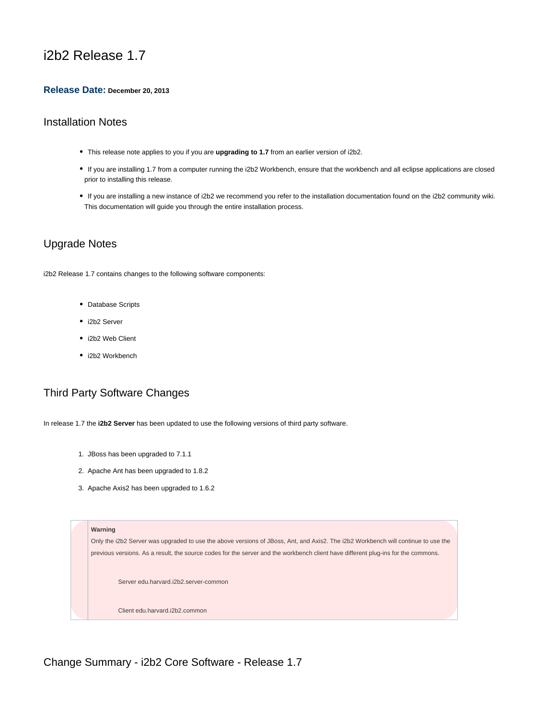# i2b2 Release 1.7

### **Release Date: December 20, 2013**

# Installation Notes

- This release note applies to you if you are **upgrading to 1.7** from an earlier version of i2b2.
- If you are installing 1.7 from a computer running the i2b2 Workbench, ensure that the workbench and all eclipse applications are closed prior to installing this release.
- If you are installing a new instance of i2b2 we recommend you refer to the installation documentation found on the i2b2 community wiki. This documentation will guide you through the entire installation process.

# Upgrade Notes

i2b2 Release 1.7 contains changes to the following software components:

- Database Scripts
- i2b2 Server
- i2b2 Web Client
- i2b2 Workbench

# Third Party Software Changes

In release 1.7 the **i2b2 Server** has been updated to use the following versions of third party software.

- 1. JBoss has been upgraded to 7.1.1
- 2. Apache Ant has been upgraded to 1.8.2
- 3. Apache Axis2 has been upgraded to 1.6.2



Change Summary - i2b2 Core Software - Release 1.7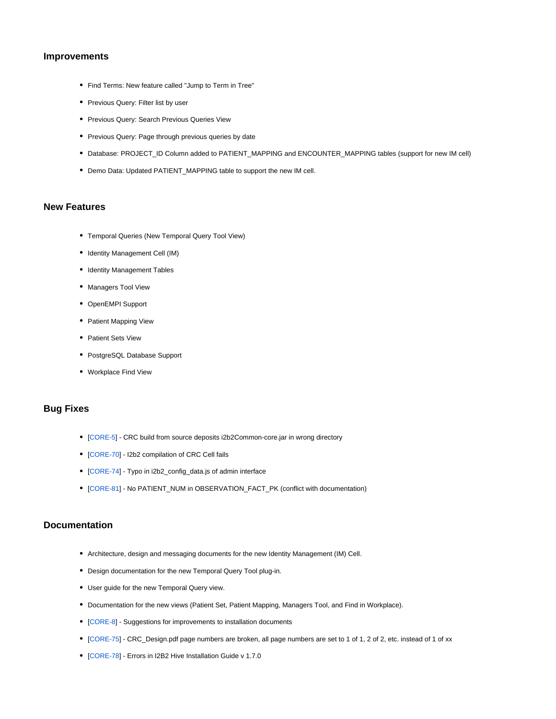### **Improvements**

- Find Terms: New feature called "Jump to Term in Tree"
- Previous Query: Filter list by user
- Previous Query: Search Previous Queries View
- Previous Query: Page through previous queries by date
- Database: PROJECT\_ID Column added to PATIENT\_MAPPING and ENCOUNTER\_MAPPING tables (support for new IM cell)
- Demo Data: Updated PATIENT\_MAPPING table to support the new IM cell.

## **New Features**

- Temporal Queries (New Temporal Query Tool View)
- Identity Management Cell (IM)
- Identity Management Tables
- Managers Tool View
- OpenEMPI Support
- Patient Mapping View
- Patient Sets View
- PostgreSQL Database Support
- Workplace Find View

### **Bug Fixes**

- [[CORE-5](http://community.i2b2.org/jira/browse/CORE-5)] CRC build from source deposits i2b2Common-core.jar in wrong directory
- [[CORE-70](http://community.i2b2.org/jira/browse/CORE-70)] I2b2 compilation of CRC Cell fails
- [[CORE-74](http://community.i2b2.org/jira/browse/CORE-74)] Typo in i2b2\_config\_data.js of admin interface
- [[CORE-81](http://community.i2b2.org/jira/browse/CORE-81)] No PATIENT\_NUM in OBSERVATION\_FACT\_PK (conflict with documentation)

### **Documentation**

- Architecture, design and messaging documents for the new Identity Management (IM) Cell.
- Design documentation for the new Temporal Query Tool plug-in.
- User guide for the new Temporal Query view.
- Documentation for the new views (Patient Set, Patient Mapping, Managers Tool, and Find in Workplace).
- [[CORE-8](http://community.i2b2.org/jira/browse/CORE-8)] Suggestions for improvements to installation documents
- [[CORE-75](http://community.i2b2.org/jira/browse/CORE-75)] CRC\_Design.pdf page numbers are broken, all page numbers are set to 1 of 1, 2 of 2, etc. instead of 1 of xx
- [[CORE-78](http://community.i2b2.org/jira/browse/CORE-78)] Errors in I2B2 Hive Installation Guide v 1.7.0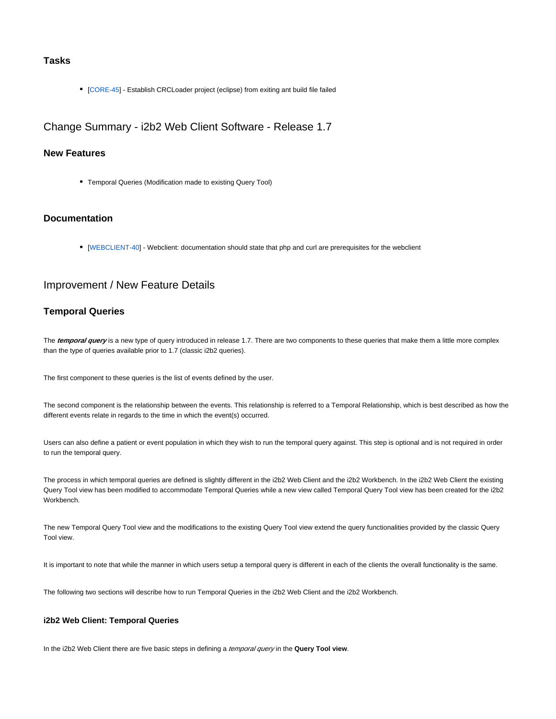# **Tasks**

[[CORE-45](http://community.i2b2.org/jira/browse/CORE-45)] - Establish CRCLoader project (eclipse) from exiting ant build file failed

Change Summary - i2b2 Web Client Software - Release 1.7

### **New Features**

Temporal Queries (Modification made to existing Query Tool)

### **Documentation**

[[WEBCLIENT-40](http://community.i2b2.org/jira/browse/WEBCLIENT-40)] - Webclient: documentation should state that php and curl are prerequisites for the webclient

# Improvement / New Feature Details

## **Temporal Queries**

The **temporal query** is a new type of query introduced in release 1.7. There are two components to these queries that make them a little more complex than the type of queries available prior to 1.7 (classic i2b2 queries).

The first component to these queries is the list of events defined by the user.

The second component is the relationship between the events. This relationship is referred to a Temporal Relationship, which is best described as how the different events relate in regards to the time in which the event(s) occurred.

Users can also define a patient or event population in which they wish to run the temporal query against. This step is optional and is not required in order to run the temporal query.

The process in which temporal queries are defined is slightly different in the i2b2 Web Client and the i2b2 Workbench. In the i2b2 Web Client the existing Query Tool view has been modified to accommodate Temporal Queries while a new view called Temporal Query Tool view has been created for the i2b2 Workbench.

The new Temporal Query Tool view and the modifications to the existing Query Tool view extend the query functionalities provided by the classic Query Tool view.

It is important to note that while the manner in which users setup a temporal query is different in each of the clients the overall functionality is the same.

The following two sections will describe how to run Temporal Queries in the i2b2 Web Client and the i2b2 Workbench.

### **i2b2 Web Client: Temporal Queries**

In the i2b2 Web Client there are five basic steps in defining a temporal query in the **Query Tool view**.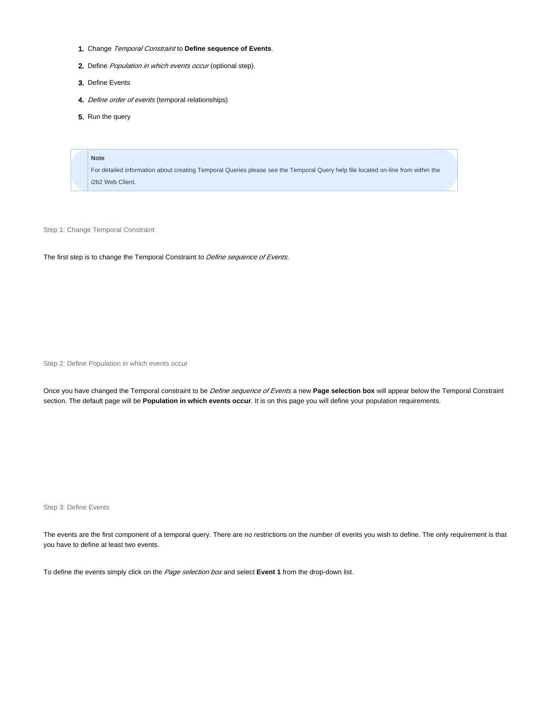- 1. Change Temporal Constraint to **Define sequence of Events**.
- 2. Define *Population in which events occur* (optional step).
- 3. Define Events
- 4. Define order of events (temporal relationships)
- 5. Run the query

#### **Note**

For detailed information about creating Temporal Queries please see the Temporal Query help file located on-line from within the i2b2 Web Client.

Step 1: Change Temporal Constraint

The first step is to change the Temporal Constraint to *Define sequence of Events*.

Step 2: Define Population in which events occur

Once you have changed the Temporal constraint to be Define sequence of Events a new **Page selection box** will appear below the Temporal Constraint section. The default page will be **Population in which events occur**. It is on this page you will define your population requirements.

#### Step 3: Define Events

The events are the first component of a temporal query. There are no restrictions on the number of events you wish to define. The only requirement is that you have to define at least two events.

To define the events simply click on the Page selection box and select **Event 1** from the drop-down list.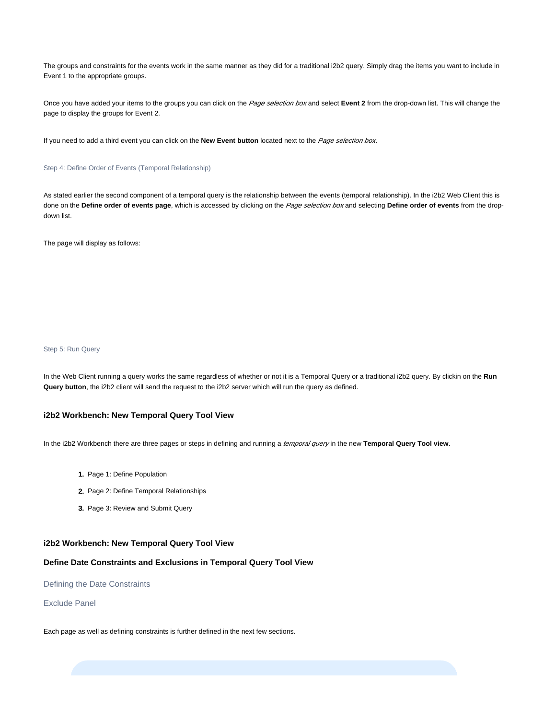The groups and constraints for the events work in the same manner as they did for a traditional i2b2 query. Simply drag the items you want to include in Event 1 to the appropriate groups.

Once you have added your items to the groups you can click on the Page selection box and select Event 2 from the drop-down list. This will change the page to display the groups for Event 2.

If you need to add a third event you can click on the **New Event button** located next to the Page selection box.

#### Step 4: Define Order of Events (Temporal Relationship)

As stated earlier the second component of a temporal query is the relationship between the events (temporal relationship). In the i2b2 Web Client this is done on the Define order of events page, which is accessed by clicking on the Page selection box and selecting Define order of events from the dropdown list.

The page will display as follows:

### Step 5: Run Query

In the Web Client running a query works the same regardless of whether or not it is a Temporal Query or a traditional i2b2 query. By clickin on the **Run Query button**, the i2b2 client will send the request to the i2b2 server which will run the query as defined.

### **i2b2 Workbench: New Temporal Query Tool View**

In the i2b2 Workbench there are three pages or steps in defining and running a temporal query in the new **Temporal Query Tool view**.

- 1. Page 1: Define Population
- 2. Page 2: Define Temporal Relationships
- 3. Page 3: Review and Submit Query

### **i2b2 Workbench: New Temporal Query Tool View**

### **Define Date Constraints and Exclusions in Temporal Query Tool View**

Defining the Date Constraints

#### Exclude Panel

Each page as well as defining constraints is further defined in the next few sections.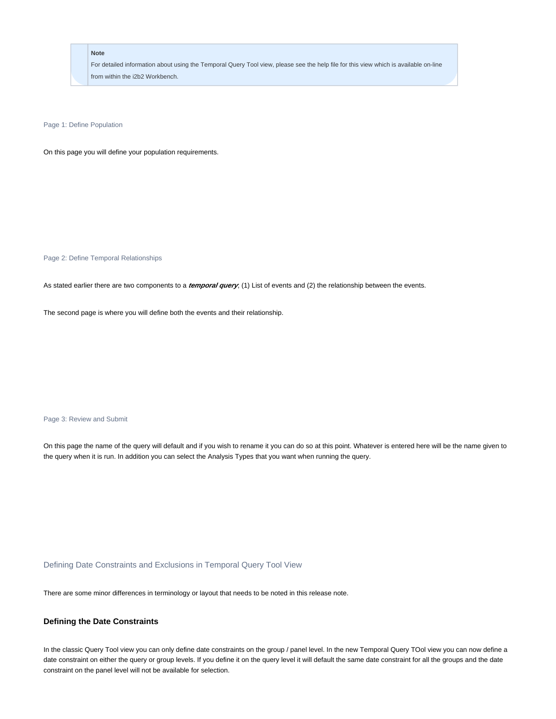For detailed information about using the Temporal Query Tool view, please see the help file for this view which is available on-line from within the i2b2 Workbench.

Page 1: Define Population

On this page you will define your population requirements.

Page 2: Define Temporal Relationships

As stated earlier there are two components to a **temporal query**; (1) List of events and (2) the relationship between the events.

The second page is where you will define both the events and their relationship.

Page 3: Review and Submit

On this page the name of the query will default and if you wish to rename it you can do so at this point. Whatever is entered here will be the name given to the query when it is run. In addition you can select the Analysis Types that you want when running the query.

Defining Date Constraints and Exclusions in Temporal Query Tool View

There are some minor differences in terminology or layout that needs to be noted in this release note.

### **Defining the Date Constraints**

In the classic Query Tool view you can only define date constraints on the group / panel level. In the new Temporal Query TOol view you can now define a date constraint on either the query or group levels. If you define it on the query level it will default the same date constraint for all the groups and the date constraint on the panel level will not be available for selection.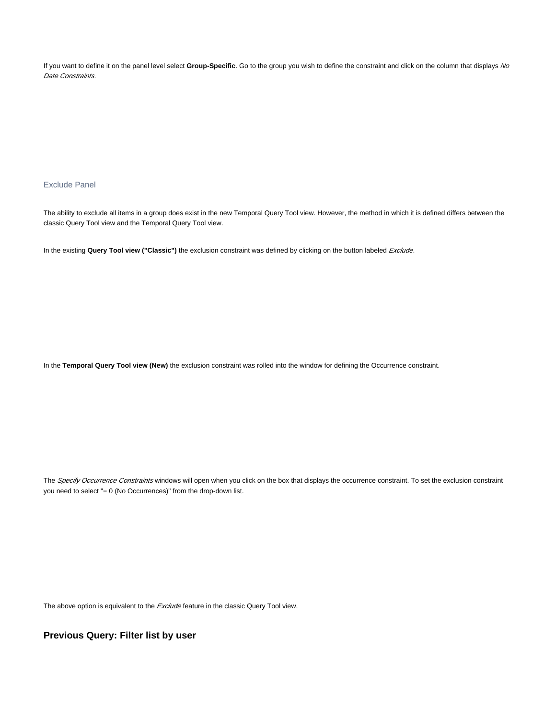If you want to define it on the panel level select **Group-Specific**. Go to the group you wish to define the constraint and click on the column that displays No Date Constraints.

### Exclude Panel

The ability to exclude all items in a group does exist in the new Temporal Query Tool view. However, the method in which it is defined differs between the classic Query Tool view and the Temporal Query Tool view.

In the existing Query Tool view ("Classic") the exclusion constraint was defined by clicking on the button labeled Exclude.

In the **Temporal Query Tool view (New)** the exclusion constraint was rolled into the window for defining the Occurrence constraint.

The Specify Occurrence Constraints windows will open when you click on the box that displays the occurrence constraint. To set the exclusion constraint you need to select "= 0 (No Occurrences)" from the drop-down list.

The above option is equivalent to the **Exclude** feature in the classic Query Tool view.

### **Previous Query: Filter list by user**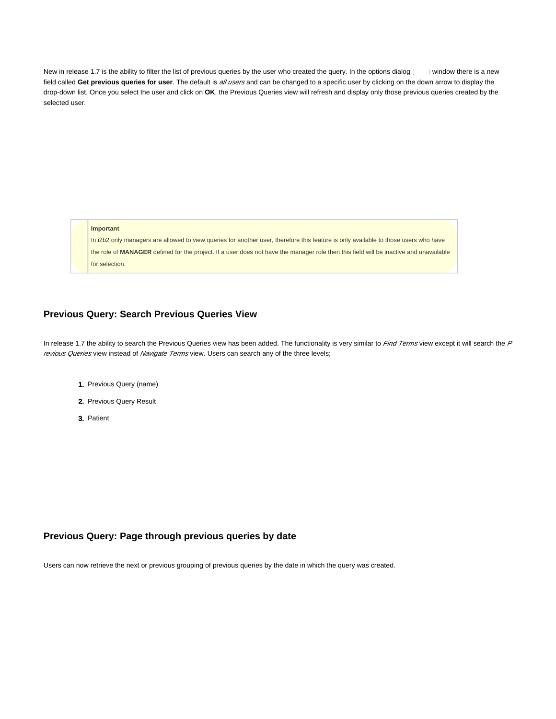New in release 1.7 is the ability to filter the list of previous queries by the user who created the query. In the options dialog  $($ ) window there is a new field called Get previous queries for user. The default is all users and can be changed to a specific user by clicking on the down arrow to display the drop-down list. Once you select the user and click on **OK**, the Previous Queries view will refresh and display only those previous queries created by the selected user.

**Important**

In i2b2 only managers are allowed to view queries for another user, therefore this feature is only available to those users who have the role of **MANAGER** defined for the project. If a user does not have the manager role then this field will be inactive and unavailable for selection.

# **Previous Query: Search Previous Queries View**

In release 1.7 the ability to search the Previous Queries view has been added. The functionality is very similar to  $Find Terms$  view except it will search the  $F$ revious Queries view instead of Navigate Terms view. Users can search any of the three levels;

- 1. Previous Query (name)
- 2. Previous Query Result
- 3. Patient

## **Previous Query: Page through previous queries by date**

Users can now retrieve the next or previous grouping of previous queries by the date in which the query was created.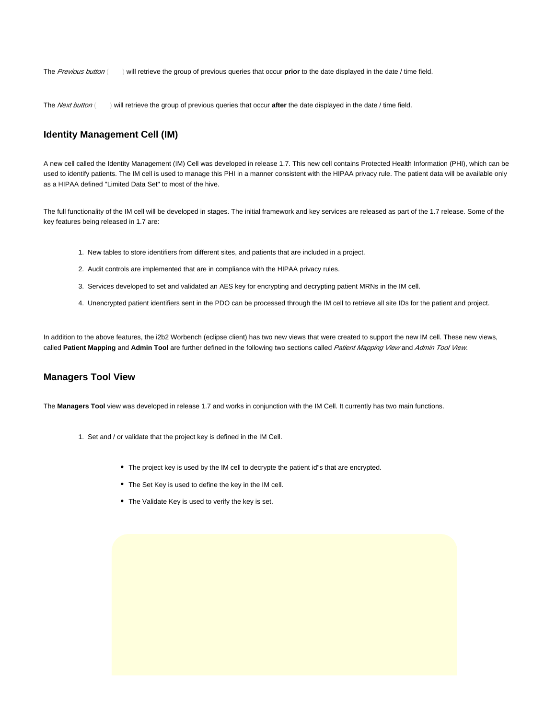The Previous button ( ) will retrieve the group of previous queries that occur **prior** to the date displayed in the date / time field.

The *Next button* () will retrieve the group of previous queries that occur **after** the date displayed in the date / time field.

# **Identity Management Cell (IM)**

A new cell called the Identity Management (IM) Cell was developed in release 1.7. This new cell contains Protected Health Information (PHI), which can be used to identify patients. The IM cell is used to manage this PHI in a manner consistent with the HIPAA privacy rule. The patient data will be available only as a HIPAA defined "Limited Data Set" to most of the hive.

The full functionality of the IM cell will be developed in stages. The initial framework and key services are released as part of the 1.7 release. Some of the key features being released in 1.7 are:

- 1. New tables to store identifiers from different sites, and patients that are included in a project.
- 2. Audit controls are implemented that are in compliance with the HIPAA privacy rules.
- 3. Services developed to set and validated an AES key for encrypting and decrypting patient MRNs in the IM cell.
- 4. Unencrypted patient identifiers sent in the PDO can be processed through the IM cell to retrieve all site IDs for the patient and project.

In addition to the above features, the i2b2 Worbench (eclipse client) has two new views that were created to support the new IM cell. These new views, called **Patient Mapping** and **Admin Tool** are further defined in the following two sections called Patient Mapping View and Admin Tool View.

### **Managers Tool View**

The **Managers Tool** view was developed in release 1.7 and works in conjunction with the IM Cell. It currently has two main functions.

- 1. Set and / or validate that the project key is defined in the IM Cell.
	- The project key is used by the IM cell to decrypte the patient id"s that are encrypted.
	- The Set Key is used to define the key in the IM cell.
	- The Validate Key is used to verify the key is set.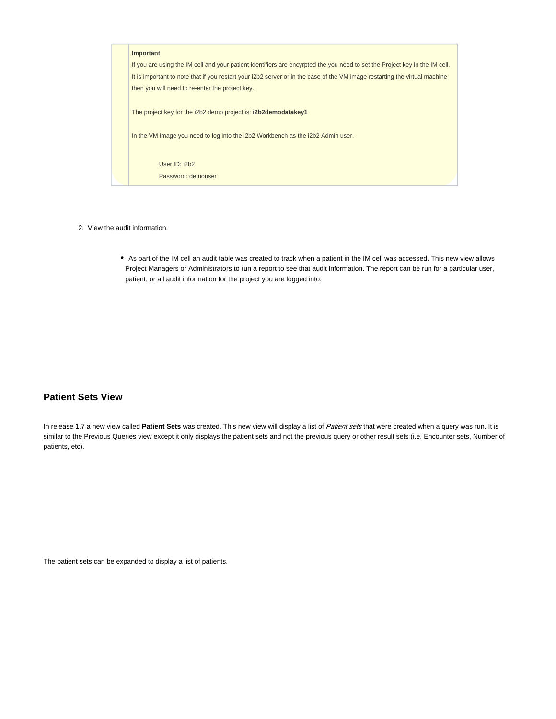| Important                                                                                                                   |
|-----------------------------------------------------------------------------------------------------------------------------|
| If you are using the IM cell and your patient identifiers are encyrpted the you need to set the Project key in the IM cell. |
| It is important to note that if you restart your i2b2 server or in the case of the VM image restarting the virtual machine  |
| then you will need to re-enter the project key.                                                                             |
|                                                                                                                             |
| The project key for the i2b2 demo project is: <b>i2b2demodatakey1</b>                                                       |
|                                                                                                                             |
| In the VM image you need to log into the i2b2 Workbench as the i2b2 Admin user.                                             |
|                                                                                                                             |
| User ID: i2b2                                                                                                               |
| Password: demouser                                                                                                          |
|                                                                                                                             |

- 2. View the audit information.
	- As part of the IM cell an audit table was created to track when a patient in the IM cell was accessed. This new view allows Project Managers or Administrators to run a report to see that audit information. The report can be run for a particular user, patient, or all audit information for the project you are logged into.

# **Patient Sets View**

In release 1.7 a new view called **Patient Sets** was created. This new view will display a list of Patient sets that were created when a query was run. It is similar to the Previous Queries view except it only displays the patient sets and not the previous query or other result sets (i.e. Encounter sets, Number of patients, etc).

The patient sets can be expanded to display a list of patients.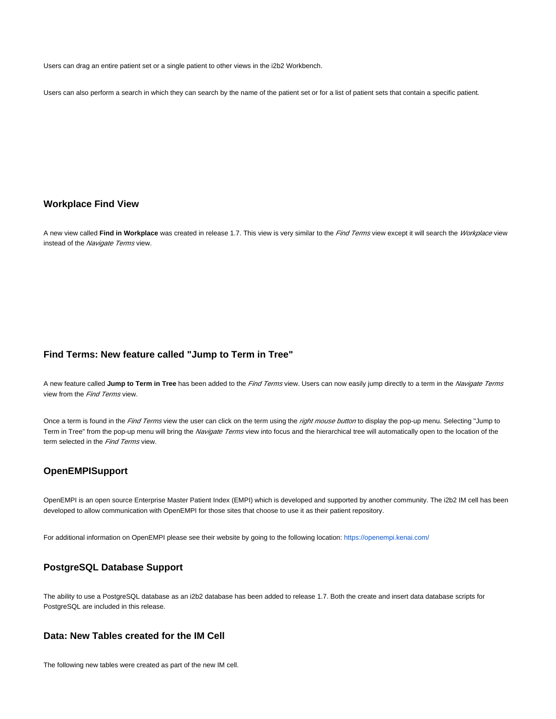Users can drag an entire patient set or a single patient to other views in the i2b2 Workbench.

Users can also perform a search in which they can search by the name of the patient set or for a list of patient sets that contain a specific patient.

# **Workplace Find View**

A new view called Find in Workplace was created in release 1.7. This view is very similar to the Find Terms view except it will search the Workplace view instead of the Navigate Terms view.

## **Find Terms: New feature called "Jump to Term in Tree"**

A new feature called Jump to Term in Tree has been added to the *Find Terms* view. Users can now easily jump directly to a term in the *Navigate Terms* view from the *Find Terms* view.

Once a term is found in the Find Terms view the user can click on the term using the right mouse button to display the pop-up menu. Selecting "Jump to Term in Tree" from the pop-up menu will bring the Navigate Terms view into focus and the hierarchical tree will automatically open to the location of the term selected in the Find Terms view.

## **OpenEMPISupport**

OpenEMPI is an open source Enterprise Master Patient Index (EMPI) which is developed and supported by another community. The i2b2 IM cell has been developed to allow communication with OpenEMPI for those sites that choose to use it as their patient repository.

For additional information on OpenEMPI please see their website by going to the following location: <https://openempi.kenai.com/>

# **PostgreSQL Database Support**

The ability to use a PostgreSQL database as an i2b2 database has been added to release 1.7. Both the create and insert data database scripts for PostgreSQL are included in this release.

# **Data: New Tables created for the IM Cell**

The following new tables were created as part of the new IM cell.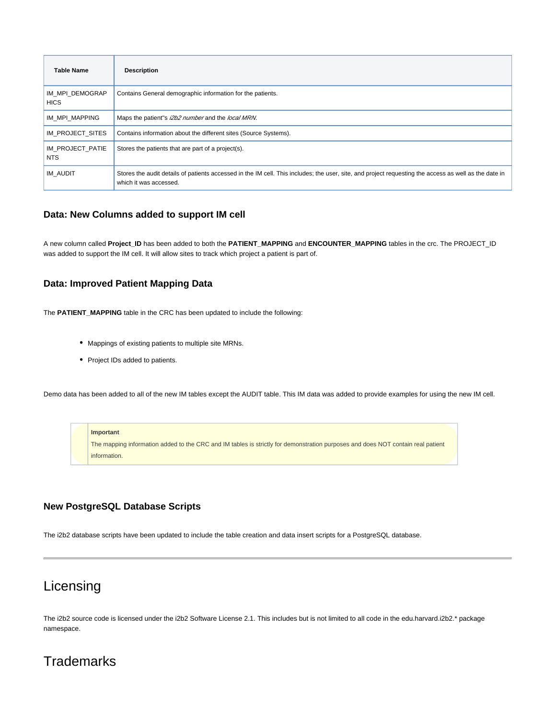| <b>Table Name</b>              | <b>Description</b>                                                                                                                                                              |
|--------------------------------|---------------------------------------------------------------------------------------------------------------------------------------------------------------------------------|
| IM MPI DEMOGRAP<br><b>HICS</b> | Contains General demographic information for the patients.                                                                                                                      |
| IM MPI MAPPING                 | Maps the patient"s i2b2 number and the local MRN.                                                                                                                               |
| IM PROJECT SITES               | Contains information about the different sites (Source Systems).                                                                                                                |
| IM PROJECT PATIE<br>NTS        | Stores the patients that are part of a project(s).                                                                                                                              |
| IM AUDIT                       | Stores the audit details of patients accessed in the IM cell. This includes; the user, site, and project requesting the access as well as the date in<br>which it was accessed. |

## **Data: New Columns added to support IM cell**

A new column called **Project\_ID** has been added to both the **PATIENT\_MAPPING** and **ENCOUNTER\_MAPPING** tables in the crc. The PROJECT\_ID was added to support the IM cell. It will allow sites to track which project a patient is part of.

## **Data: Improved Patient Mapping Data**

The **PATIENT\_MAPPING** table in the CRC has been updated to include the following:

- Mappings of existing patients to multiple site MRNs.
- Project IDs added to patients.

Demo data has been added to all of the new IM tables except the AUDIT table. This IM data was added to provide examples for using the new IM cell.

### **Important**

The mapping information added to the CRC and IM tables is strictly for demonstration purposes and does NOT contain real patient information.

# **New PostgreSQL Database Scripts**

The i2b2 database scripts have been updated to include the table creation and data insert scripts for a PostgreSQL database.

# Licensing

The i2b2 source code is licensed under the i2b2 Software License 2.1. This includes but is not limited to all code in the edu.harvard.i2b2.\* package namespace.

# **Trademarks**